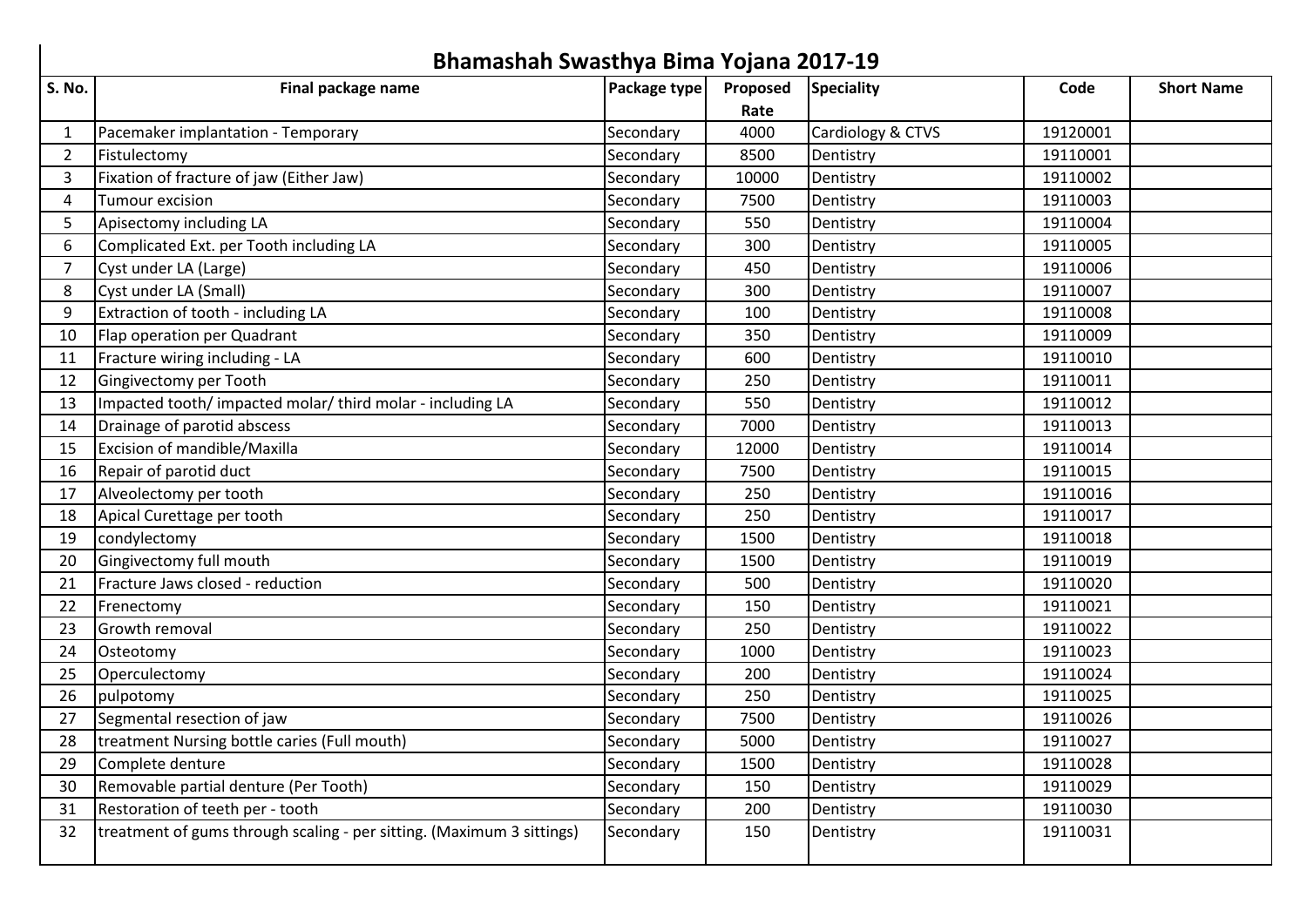|                | Bhamashah Swasthya Bima Yojana 2017-19                                |              |          |                   |          |                   |  |  |  |
|----------------|-----------------------------------------------------------------------|--------------|----------|-------------------|----------|-------------------|--|--|--|
| <b>S. No.</b>  | Final package name                                                    | Package type | Proposed | <b>Speciality</b> | Code     | <b>Short Name</b> |  |  |  |
|                |                                                                       |              | Rate     |                   |          |                   |  |  |  |
| $\mathbf{1}$   | Pacemaker implantation - Temporary                                    | Secondary    | 4000     | Cardiology & CTVS | 19120001 |                   |  |  |  |
| $\overline{2}$ | Fistulectomy                                                          | Secondary    | 8500     | Dentistry         | 19110001 |                   |  |  |  |
| 3              | Fixation of fracture of jaw (Either Jaw)                              | Secondary    | 10000    | Dentistry         | 19110002 |                   |  |  |  |
| 4              | <b>Tumour excision</b>                                                | Secondary    | 7500     | Dentistry         | 19110003 |                   |  |  |  |
| 5              | Apisectomy including LA                                               | Secondary    | 550      | Dentistry         | 19110004 |                   |  |  |  |
| 6              | Complicated Ext. per Tooth including LA                               | Secondary    | 300      | Dentistry         | 19110005 |                   |  |  |  |
| $\overline{7}$ | Cyst under LA (Large)                                                 | Secondary    | 450      | Dentistry         | 19110006 |                   |  |  |  |
| 8              | Cyst under LA (Small)                                                 | Secondary    | 300      | Dentistry         | 19110007 |                   |  |  |  |
| 9              | Extraction of tooth - including LA                                    | Secondary    | 100      | Dentistry         | 19110008 |                   |  |  |  |
| 10             | Flap operation per Quadrant                                           | Secondary    | 350      | Dentistry         | 19110009 |                   |  |  |  |
| 11             | Fracture wiring including - LA                                        | Secondary    | 600      | Dentistry         | 19110010 |                   |  |  |  |
| 12             | Gingivectomy per Tooth                                                | Secondary    | 250      | Dentistry         | 19110011 |                   |  |  |  |
| 13             | Impacted tooth/impacted molar/third molar - including LA              | Secondary    | 550      | Dentistry         | 19110012 |                   |  |  |  |
| 14             | Drainage of parotid abscess                                           | Secondary    | 7000     | Dentistry         | 19110013 |                   |  |  |  |
| 15             | Excision of mandible/Maxilla                                          | Secondary    | 12000    | Dentistry         | 19110014 |                   |  |  |  |
| 16             | Repair of parotid duct                                                | Secondary    | 7500     | Dentistry         | 19110015 |                   |  |  |  |
| 17             | Alveolectomy per tooth                                                | Secondary    | 250      | Dentistry         | 19110016 |                   |  |  |  |
| 18             | Apical Curettage per tooth                                            | Secondary    | 250      | Dentistry         | 19110017 |                   |  |  |  |
| 19             | condylectomy                                                          | Secondary    | 1500     | Dentistry         | 19110018 |                   |  |  |  |
| 20             | Gingivectomy full mouth                                               | Secondary    | 1500     | Dentistry         | 19110019 |                   |  |  |  |
| 21             | Fracture Jaws closed - reduction                                      | Secondary    | 500      | Dentistry         | 19110020 |                   |  |  |  |
| 22             | Frenectomy                                                            | Secondary    | 150      | Dentistry         | 19110021 |                   |  |  |  |
| 23             | Growth removal                                                        | Secondary    | 250      | Dentistry         | 19110022 |                   |  |  |  |
| 24             | Osteotomy                                                             | Secondary    | 1000     | Dentistry         | 19110023 |                   |  |  |  |
| 25             | Operculectomy                                                         | Secondary    | 200      | Dentistry         | 19110024 |                   |  |  |  |
| 26             | pulpotomy                                                             | Secondary    | 250      | Dentistry         | 19110025 |                   |  |  |  |
| 27             | Segmental resection of jaw                                            | Secondary    | 7500     | Dentistry         | 19110026 |                   |  |  |  |
| 28             | treatment Nursing bottle caries (Full mouth)                          | Secondary    | 5000     | Dentistry         | 19110027 |                   |  |  |  |
| 29             | Complete denture                                                      | Secondary    | 1500     | Dentistry         | 19110028 |                   |  |  |  |
| 30             | Removable partial denture (Per Tooth)                                 | Secondary    | 150      | Dentistry         | 19110029 |                   |  |  |  |
| 31             | Restoration of teeth per - tooth                                      | Secondary    | 200      | Dentistry         | 19110030 |                   |  |  |  |
| 32             | treatment of gums through scaling - per sitting. (Maximum 3 sittings) | Secondary    | 150      | Dentistry         | 19110031 |                   |  |  |  |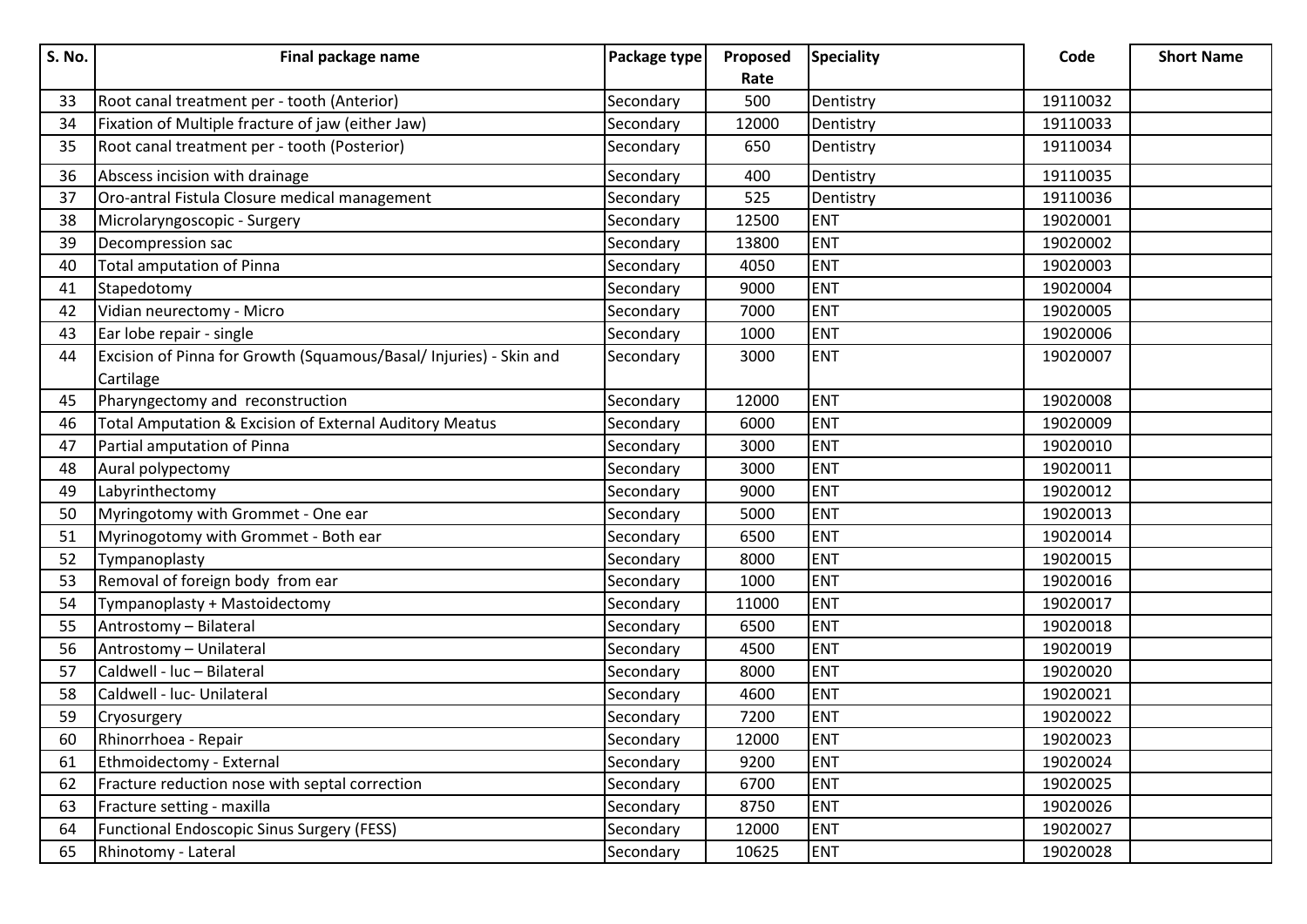| <b>S. No.</b> | Final package name                                                              | Package type | Proposed | <b>Speciality</b> | Code     | <b>Short Name</b> |
|---------------|---------------------------------------------------------------------------------|--------------|----------|-------------------|----------|-------------------|
|               |                                                                                 |              | Rate     |                   |          |                   |
| 33            | Root canal treatment per - tooth (Anterior)                                     | Secondary    | 500      | Dentistry         | 19110032 |                   |
| 34            | Fixation of Multiple fracture of jaw (either Jaw)                               | Secondary    | 12000    | Dentistry         | 19110033 |                   |
| 35            | Root canal treatment per - tooth (Posterior)                                    | Secondary    | 650      | Dentistry         | 19110034 |                   |
| 36            | Abscess incision with drainage                                                  | Secondary    | 400      | Dentistry         | 19110035 |                   |
| 37            | Oro-antral Fistula Closure medical management                                   | Secondary    | 525      | Dentistry         | 19110036 |                   |
| 38            | Microlaryngoscopic - Surgery                                                    | Secondary    | 12500    | <b>ENT</b>        | 19020001 |                   |
| 39            | Decompression sac                                                               | Secondary    | 13800    | <b>ENT</b>        | 19020002 |                   |
| 40            | <b>Total amputation of Pinna</b>                                                | Secondary    | 4050     | <b>ENT</b>        | 19020003 |                   |
| 41            | Stapedotomy                                                                     | Secondary    | 9000     | <b>ENT</b>        | 19020004 |                   |
| 42            | Vidian neurectomy - Micro                                                       | Secondary    | 7000     | <b>ENT</b>        | 19020005 |                   |
| 43            | Ear lobe repair - single                                                        | Secondary    | 1000     | <b>ENT</b>        | 19020006 |                   |
| 44            | Excision of Pinna for Growth (Squamous/Basal/ Injuries) - Skin and<br>Cartilage | Secondary    | 3000     | <b>ENT</b>        | 19020007 |                   |
| 45            | Pharyngectomy and reconstruction                                                | Secondary    | 12000    | <b>ENT</b>        | 19020008 |                   |
| 46            | Total Amputation & Excision of External Auditory Meatus                         | Secondary    | 6000     | <b>ENT</b>        | 19020009 |                   |
| 47            | Partial amputation of Pinna                                                     | Secondary    | 3000     | <b>ENT</b>        | 19020010 |                   |
| 48            | Aural polypectomy                                                               | Secondary    | 3000     | <b>ENT</b>        | 19020011 |                   |
| 49            | Labyrinthectomy                                                                 | Secondary    | 9000     | <b>ENT</b>        | 19020012 |                   |
| 50            | Myringotomy with Grommet - One ear                                              | Secondary    | 5000     | <b>ENT</b>        | 19020013 |                   |
| 51            | Myrinogotomy with Grommet - Both ear                                            | Secondary    | 6500     | <b>ENT</b>        | 19020014 |                   |
| 52            | Tympanoplasty                                                                   | Secondary    | 8000     | <b>ENT</b>        | 19020015 |                   |
| 53            | Removal of foreign body from ear                                                | Secondary    | 1000     | <b>ENT</b>        | 19020016 |                   |
| 54            | Tympanoplasty + Mastoidectomy                                                   | Secondary    | 11000    | <b>ENT</b>        | 19020017 |                   |
| 55            | Antrostomy - Bilateral                                                          | Secondary    | 6500     | <b>ENT</b>        | 19020018 |                   |
| 56            | Antrostomy - Unilateral                                                         | Secondary    | 4500     | <b>ENT</b>        | 19020019 |                   |
| 57            | Caldwell - luc - Bilateral                                                      | Secondary    | 8000     | <b>ENT</b>        | 19020020 |                   |
| 58            | Caldwell - luc- Unilateral                                                      | Secondary    | 4600     | <b>ENT</b>        | 19020021 |                   |
| 59            | Cryosurgery                                                                     | Secondary    | 7200     | <b>ENT</b>        | 19020022 |                   |
| 60            | Rhinorrhoea - Repair                                                            | Secondary    | 12000    | <b>ENT</b>        | 19020023 |                   |
| 61            | Ethmoidectomy - External                                                        | Secondary    | 9200     | <b>ENT</b>        | 19020024 |                   |
| 62            | Fracture reduction nose with septal correction                                  | Secondary    | 6700     | <b>ENT</b>        | 19020025 |                   |
| 63            | Fracture setting - maxilla                                                      | Secondary    | 8750     | <b>ENT</b>        | 19020026 |                   |
| 64            | <b>Functional Endoscopic Sinus Surgery (FESS)</b>                               | Secondary    | 12000    | <b>ENT</b>        | 19020027 |                   |
| 65            | Rhinotomy - Lateral                                                             | Secondary    | 10625    | <b>ENT</b>        | 19020028 |                   |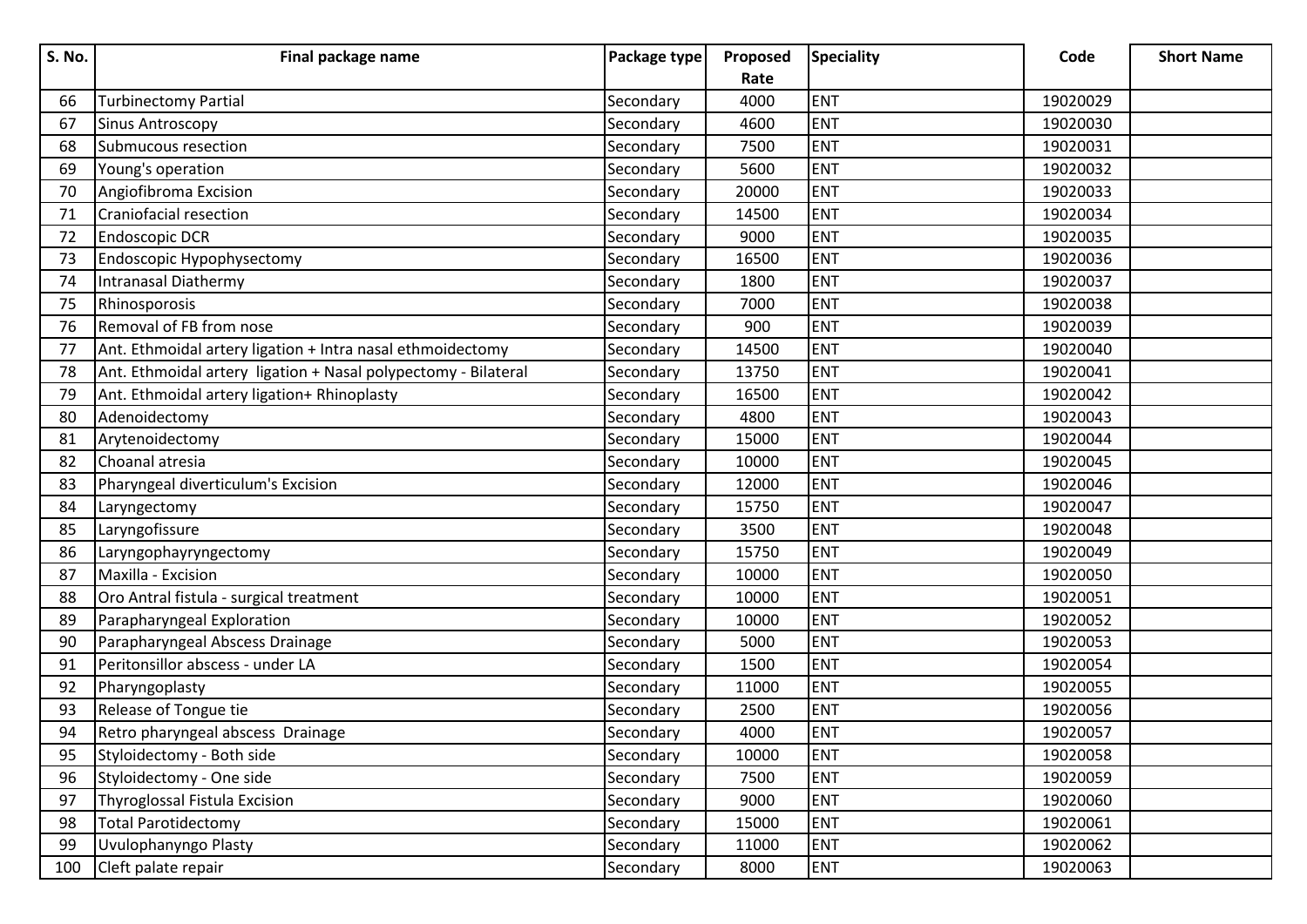| <b>S. No.</b> | Final package name                                             | Package type | Proposed | <b>Speciality</b> | Code     | <b>Short Name</b> |
|---------------|----------------------------------------------------------------|--------------|----------|-------------------|----------|-------------------|
|               |                                                                |              | Rate     |                   |          |                   |
| 66            | <b>Turbinectomy Partial</b>                                    | Secondary    | 4000     | <b>ENT</b>        | 19020029 |                   |
| 67            | <b>Sinus Antroscopy</b>                                        | Secondary    | 4600     | <b>ENT</b>        | 19020030 |                   |
| 68            | Submucous resection                                            | Secondary    | 7500     | <b>ENT</b>        | 19020031 |                   |
| 69            | Young's operation                                              | Secondary    | 5600     | <b>ENT</b>        | 19020032 |                   |
| 70            | Angiofibroma Excision                                          | Secondary    | 20000    | <b>ENT</b>        | 19020033 |                   |
| 71            | Craniofacial resection                                         | Secondary    | 14500    | <b>ENT</b>        | 19020034 |                   |
| 72            | <b>Endoscopic DCR</b>                                          | Secondary    | 9000     | <b>ENT</b>        | 19020035 |                   |
| 73            | Endoscopic Hypophysectomy                                      | Secondary    | 16500    | <b>ENT</b>        | 19020036 |                   |
| 74            | Intranasal Diathermy                                           | Secondary    | 1800     | <b>ENT</b>        | 19020037 |                   |
| 75            | Rhinosporosis                                                  | Secondary    | 7000     | <b>ENT</b>        | 19020038 |                   |
| 76            | Removal of FB from nose                                        | Secondary    | 900      | <b>ENT</b>        | 19020039 |                   |
| 77            | Ant. Ethmoidal artery ligation + Intra nasal ethmoidectomy     | Secondary    | 14500    | <b>ENT</b>        | 19020040 |                   |
| 78            | Ant. Ethmoidal artery ligation + Nasal polypectomy - Bilateral | Secondary    | 13750    | <b>ENT</b>        | 19020041 |                   |
| 79            | Ant. Ethmoidal artery ligation+ Rhinoplasty                    | Secondary    | 16500    | <b>ENT</b>        | 19020042 |                   |
| 80            | Adenoidectomy                                                  | Secondary    | 4800     | <b>ENT</b>        | 19020043 |                   |
| 81            | Arytenoidectomy                                                | Secondary    | 15000    | <b>ENT</b>        | 19020044 |                   |
| 82            | Choanal atresia                                                | Secondary    | 10000    | <b>ENT</b>        | 19020045 |                   |
| 83            | Pharyngeal diverticulum's Excision                             | Secondary    | 12000    | <b>ENT</b>        | 19020046 |                   |
| 84            | Laryngectomy                                                   | Secondary    | 15750    | <b>ENT</b>        | 19020047 |                   |
| 85            | Laryngofissure                                                 | Secondary    | 3500     | <b>ENT</b>        | 19020048 |                   |
| 86            | Laryngophayryngectomy                                          | Secondary    | 15750    | <b>ENT</b>        | 19020049 |                   |
| 87            | Maxilla - Excision                                             | Secondary    | 10000    | <b>ENT</b>        | 19020050 |                   |
| 88            | Oro Antral fistula - surgical treatment                        | Secondary    | 10000    | <b>ENT</b>        | 19020051 |                   |
| 89            | Parapharyngeal Exploration                                     | Secondary    | 10000    | <b>ENT</b>        | 19020052 |                   |
| 90            | Parapharyngeal Abscess Drainage                                | Secondary    | 5000     | <b>ENT</b>        | 19020053 |                   |
| 91            | Peritonsillor abscess - under LA                               | Secondary    | 1500     | <b>ENT</b>        | 19020054 |                   |
| 92            | Pharyngoplasty                                                 | Secondary    | 11000    | <b>ENT</b>        | 19020055 |                   |
| 93            | Release of Tongue tie                                          | Secondary    | 2500     | <b>ENT</b>        | 19020056 |                   |
| 94            | Retro pharyngeal abscess Drainage                              | Secondary    | 4000     | <b>ENT</b>        | 19020057 |                   |
| 95            | Styloidectomy - Both side                                      | Secondary    | 10000    | <b>ENT</b>        | 19020058 |                   |
| 96            | Styloidectomy - One side                                       | Secondary    | 7500     | <b>ENT</b>        | 19020059 |                   |
| 97            | Thyroglossal Fistula Excision                                  | Secondary    | 9000     | <b>ENT</b>        | 19020060 |                   |
| 98            | <b>Total Parotidectomy</b>                                     | Secondary    | 15000    | <b>ENT</b>        | 19020061 |                   |
| 99            | Uvulophanyngo Plasty                                           | Secondary    | 11000    | <b>ENT</b>        | 19020062 |                   |
| 100           | Cleft palate repair                                            | Secondary    | 8000     | <b>ENT</b>        | 19020063 |                   |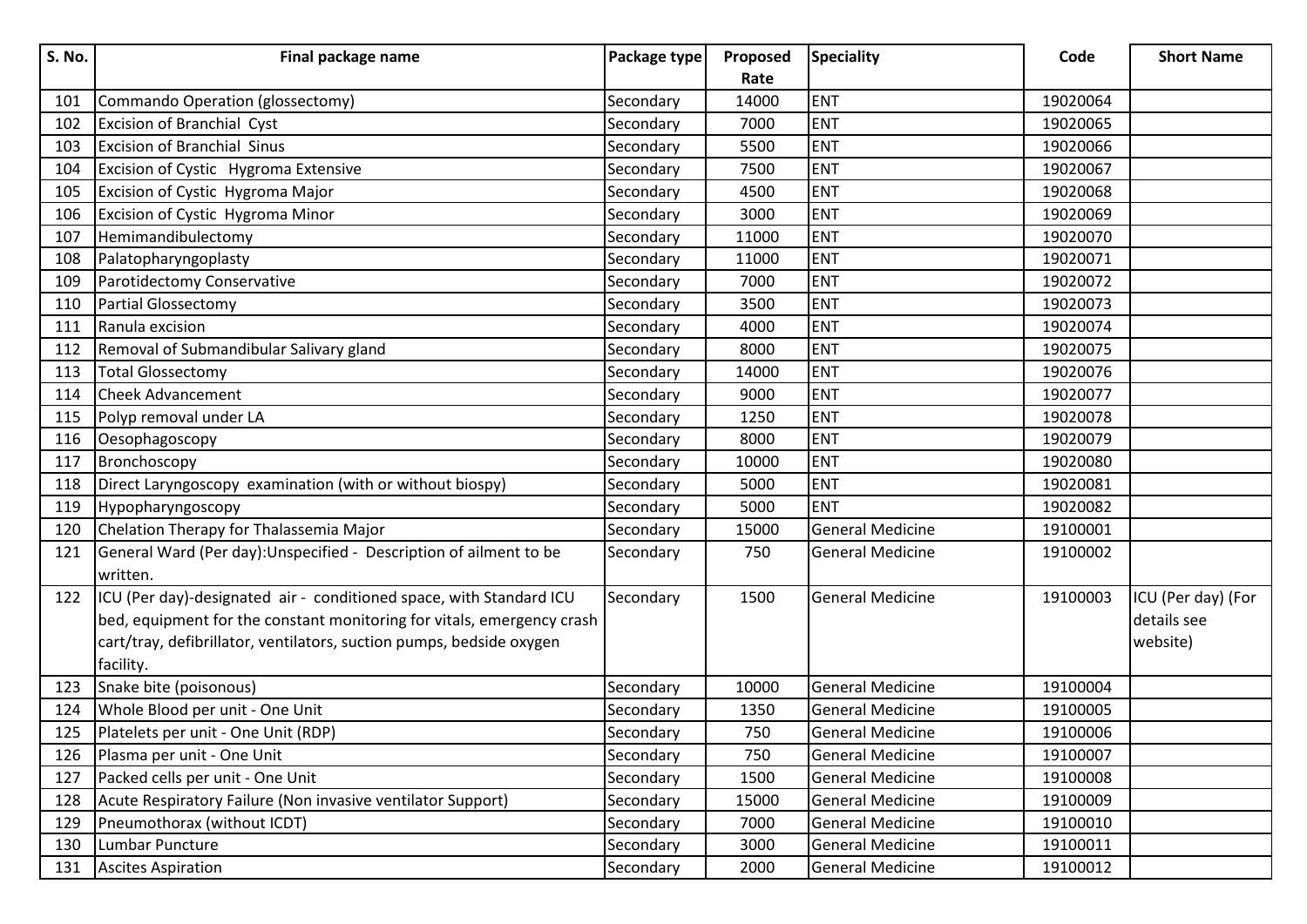| <b>S. No.</b> | Final package name                                                             | Package type | Proposed | <b>Speciality</b>       | Code     | <b>Short Name</b>  |
|---------------|--------------------------------------------------------------------------------|--------------|----------|-------------------------|----------|--------------------|
|               |                                                                                |              | Rate     |                         |          |                    |
| 101           | Commando Operation (glossectomy)                                               | Secondary    | 14000    | <b>ENT</b>              | 19020064 |                    |
| 102           | Excision of Branchial Cyst                                                     | Secondary    | 7000     | <b>ENT</b>              | 19020065 |                    |
| 103           | <b>Excision of Branchial Sinus</b>                                             | Secondary    | 5500     | <b>ENT</b>              | 19020066 |                    |
| 104           | Excision of Cystic Hygroma Extensive                                           | Secondary    | 7500     | <b>ENT</b>              | 19020067 |                    |
| 105           | Excision of Cystic Hygroma Major                                               | Secondary    | 4500     | <b>ENT</b>              | 19020068 |                    |
| 106           | Excision of Cystic Hygroma Minor                                               | Secondary    | 3000     | <b>ENT</b>              | 19020069 |                    |
| 107           | Hemimandibulectomy                                                             | Secondary    | 11000    | <b>ENT</b>              | 19020070 |                    |
| 108           | Palatopharyngoplasty                                                           | Secondary    | 11000    | <b>ENT</b>              | 19020071 |                    |
| 109           | Parotidectomy Conservative                                                     | Secondary    | 7000     | <b>ENT</b>              | 19020072 |                    |
| 110           | <b>Partial Glossectomy</b>                                                     | Secondary    | 3500     | <b>ENT</b>              | 19020073 |                    |
| 111           | Ranula excision                                                                | Secondary    | 4000     | <b>ENT</b>              | 19020074 |                    |
| 112           | Removal of Submandibular Salivary gland                                        | Secondary    | 8000     | <b>ENT</b>              | 19020075 |                    |
| 113           | <b>Total Glossectomy</b>                                                       | Secondary    | 14000    | <b>ENT</b>              | 19020076 |                    |
| 114           | <b>Cheek Advancement</b>                                                       | Secondary    | 9000     | <b>ENT</b>              | 19020077 |                    |
| 115           | Polyp removal under LA                                                         | Secondary    | 1250     | <b>ENT</b>              | 19020078 |                    |
| 116           | Oesophagoscopy                                                                 | Secondary    | 8000     | <b>ENT</b>              | 19020079 |                    |
| 117           | Bronchoscopy                                                                   | Secondary    | 10000    | <b>ENT</b>              | 19020080 |                    |
| 118           | Direct Laryngoscopy examination (with or without biospy)                       | Secondary    | 5000     | <b>ENT</b>              | 19020081 |                    |
| 119           | Hypopharyngoscopy                                                              | Secondary    | 5000     | <b>ENT</b>              | 19020082 |                    |
| 120           | Chelation Therapy for Thalassemia Major                                        | Secondary    | 15000    | <b>General Medicine</b> | 19100001 |                    |
| 121           | General Ward (Per day): Unspecified - Description of ailment to be<br>written. | Secondary    | 750      | <b>General Medicine</b> | 19100002 |                    |
| 122           | ICU (Per day)-designated air - conditioned space, with Standard ICU            | Secondary    | 1500     | <b>General Medicine</b> | 19100003 | ICU (Per day) (For |
|               | bed, equipment for the constant monitoring for vitals, emergency crash         |              |          |                         |          | details see        |
|               | cart/tray, defibrillator, ventilators, suction pumps, bedside oxygen           |              |          |                         |          | website)           |
|               | facility.                                                                      |              |          |                         |          |                    |
| 123           | Snake bite (poisonous)                                                         | Secondary    | 10000    | <b>General Medicine</b> | 19100004 |                    |
| 124           | Whole Blood per unit - One Unit                                                | Secondary    | 1350     | <b>General Medicine</b> | 19100005 |                    |
| 125           | Platelets per unit - One Unit (RDP)                                            | Secondary    | 750      | <b>General Medicine</b> | 19100006 |                    |
| 126           | Plasma per unit - One Unit                                                     | Secondary    | 750      | <b>General Medicine</b> | 19100007 |                    |
| 127           | Packed cells per unit - One Unit                                               | Secondary    | 1500     | <b>General Medicine</b> | 19100008 |                    |
| 128           | Acute Respiratory Failure (Non invasive ventilator Support)                    | Secondary    | 15000    | <b>General Medicine</b> | 19100009 |                    |
| 129           | Pneumothorax (without ICDT)                                                    | Secondary    | 7000     | <b>General Medicine</b> | 19100010 |                    |
| 130           | Lumbar Puncture                                                                | Secondary    | 3000     | <b>General Medicine</b> | 19100011 |                    |
| 131           | <b>Ascites Aspiration</b>                                                      | Secondary    | 2000     | <b>General Medicine</b> | 19100012 |                    |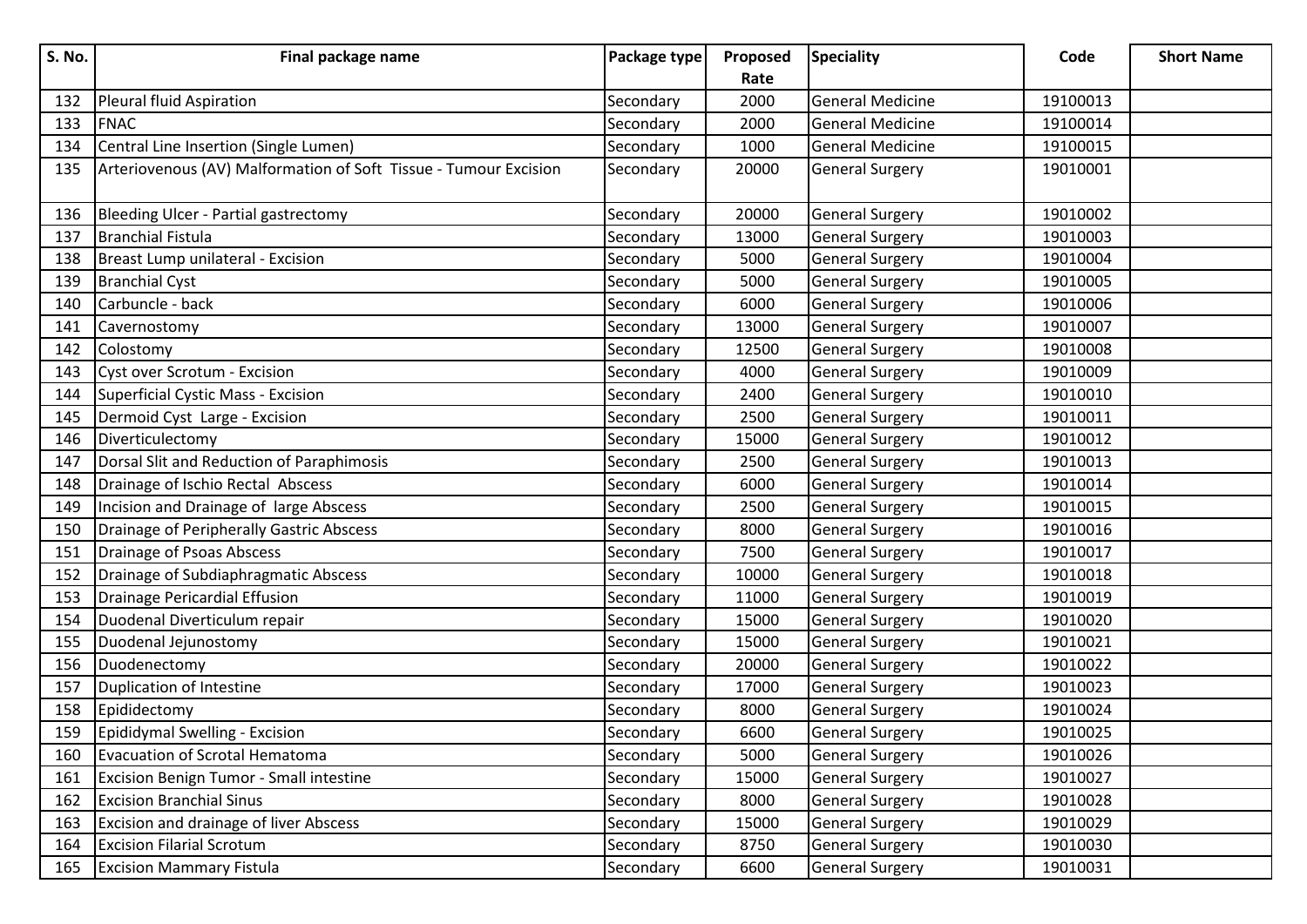| S. No. | Final package name                                               | Package type | Proposed | <b>Speciality</b>       | Code     | <b>Short Name</b> |
|--------|------------------------------------------------------------------|--------------|----------|-------------------------|----------|-------------------|
|        |                                                                  |              | Rate     |                         |          |                   |
| 132    | Pleural fluid Aspiration                                         | Secondary    | 2000     | <b>General Medicine</b> | 19100013 |                   |
| 133    | <b>FNAC</b>                                                      | Secondary    | 2000     | <b>General Medicine</b> | 19100014 |                   |
| 134    | Central Line Insertion (Single Lumen)                            | Secondary    | 1000     | <b>General Medicine</b> | 19100015 |                   |
| 135    | Arteriovenous (AV) Malformation of Soft Tissue - Tumour Excision | Secondary    | 20000    | <b>General Surgery</b>  | 19010001 |                   |
| 136    | Bleeding Ulcer - Partial gastrectomy                             | Secondary    | 20000    | <b>General Surgery</b>  | 19010002 |                   |
| 137    | Branchial Fistula                                                | Secondary    | 13000    | <b>General Surgery</b>  | 19010003 |                   |
| 138    | Breast Lump unilateral - Excision                                | Secondary    | 5000     | <b>General Surgery</b>  | 19010004 |                   |
| 139    | <b>Branchial Cyst</b>                                            | Secondary    | 5000     | <b>General Surgery</b>  | 19010005 |                   |
| 140    | Carbuncle - back                                                 | Secondary    | 6000     | <b>General Surgery</b>  | 19010006 |                   |
| 141    | Cavernostomy                                                     | Secondary    | 13000    | <b>General Surgery</b>  | 19010007 |                   |
| 142    | Colostomy                                                        | Secondary    | 12500    | <b>General Surgery</b>  | 19010008 |                   |
| 143    | Cyst over Scrotum - Excision                                     | Secondary    | 4000     | <b>General Surgery</b>  | 19010009 |                   |
| 144    | Superficial Cystic Mass - Excision                               | Secondary    | 2400     | <b>General Surgery</b>  | 19010010 |                   |
| 145    | Dermoid Cyst Large - Excision                                    | Secondary    | 2500     | <b>General Surgery</b>  | 19010011 |                   |
| 146    | Diverticulectomy                                                 | Secondary    | 15000    | <b>General Surgery</b>  | 19010012 |                   |
| 147    | Dorsal Slit and Reduction of Paraphimosis                        | Secondary    | 2500     | <b>General Surgery</b>  | 19010013 |                   |
| 148    | Drainage of Ischio Rectal Abscess                                | Secondary    | 6000     | <b>General Surgery</b>  | 19010014 |                   |
| 149    | Incision and Drainage of large Abscess                           | Secondary    | 2500     | <b>General Surgery</b>  | 19010015 |                   |
| 150    | Drainage of Peripherally Gastric Abscess                         | Secondary    | 8000     | <b>General Surgery</b>  | 19010016 |                   |
| 151    | Drainage of Psoas Abscess                                        | Secondary    | 7500     | <b>General Surgery</b>  | 19010017 |                   |
| 152    | Drainage of Subdiaphragmatic Abscess                             | Secondary    | 10000    | <b>General Surgery</b>  | 19010018 |                   |
| 153    | Drainage Pericardial Effusion                                    | Secondary    | 11000    | <b>General Surgery</b>  | 19010019 |                   |
| 154    | Duodenal Diverticulum repair                                     | Secondary    | 15000    | <b>General Surgery</b>  | 19010020 |                   |
| 155    | Duodenal Jejunostomy                                             | Secondary    | 15000    | <b>General Surgery</b>  | 19010021 |                   |
| 156    | Duodenectomy                                                     | Secondary    | 20000    | <b>General Surgery</b>  | 19010022 |                   |
| 157    | Duplication of Intestine                                         | Secondary    | 17000    | <b>General Surgery</b>  | 19010023 |                   |
| 158    | Epididectomy                                                     | Secondary    | 8000     | <b>General Surgery</b>  | 19010024 |                   |
| 159    | Epididymal Swelling - Excision                                   | Secondary    | 6600     | General Surgery         | 19010025 |                   |
| 160    | Evacuation of Scrotal Hematoma                                   | Secondary    | 5000     | <b>General Surgery</b>  | 19010026 |                   |
| 161    | Excision Benign Tumor - Small intestine                          | Secondary    | 15000    | <b>General Surgery</b>  | 19010027 |                   |
| 162    | <b>Excision Branchial Sinus</b>                                  | Secondary    | 8000     | <b>General Surgery</b>  | 19010028 |                   |
| 163    | <b>Excision and drainage of liver Abscess</b>                    | Secondary    | 15000    | <b>General Surgery</b>  | 19010029 |                   |
| 164    | <b>Excision Filarial Scrotum</b>                                 | Secondary    | 8750     | <b>General Surgery</b>  | 19010030 |                   |
| 165    | <b>Excision Mammary Fistula</b>                                  | Secondary    | 6600     | <b>General Surgery</b>  | 19010031 |                   |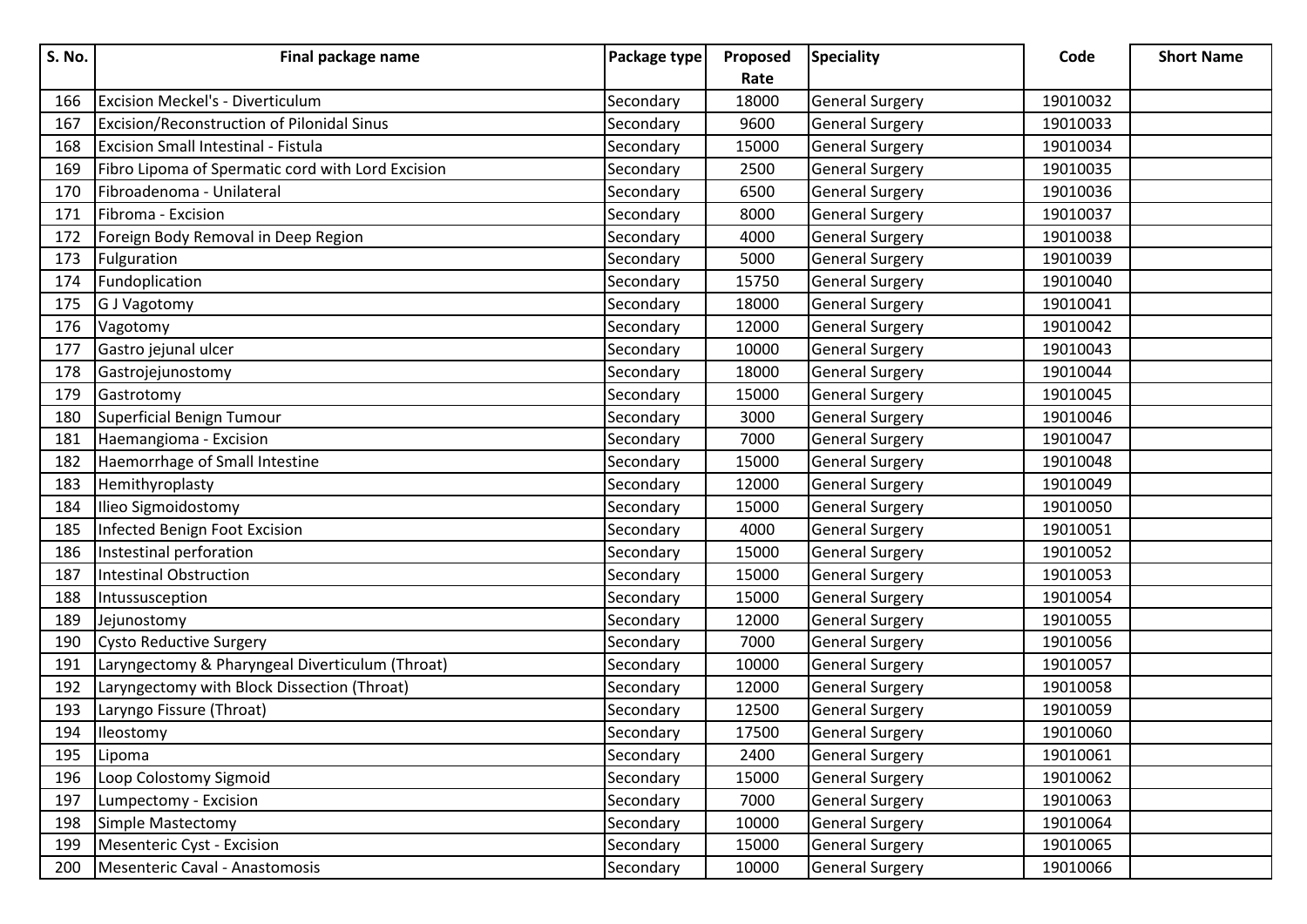| <b>S. No.</b> | Final package name                                | Package type | Proposed | <b>Speciality</b>      | Code     | <b>Short Name</b> |
|---------------|---------------------------------------------------|--------------|----------|------------------------|----------|-------------------|
|               |                                                   |              | Rate     |                        |          |                   |
| 166           | <b>Excision Meckel's - Diverticulum</b>           | Secondary    | 18000    | <b>General Surgery</b> | 19010032 |                   |
| 167           | <b>Excision/Reconstruction of Pilonidal Sinus</b> | Secondary    | 9600     | <b>General Surgery</b> | 19010033 |                   |
| 168           | <b>Excision Small Intestinal - Fistula</b>        | Secondary    | 15000    | <b>General Surgery</b> | 19010034 |                   |
| 169           | Fibro Lipoma of Spermatic cord with Lord Excision | Secondary    | 2500     | <b>General Surgery</b> | 19010035 |                   |
| 170           | Fibroadenoma - Unilateral                         | Secondary    | 6500     | <b>General Surgery</b> | 19010036 |                   |
| 171           | Fibroma - Excision                                | Secondary    | 8000     | <b>General Surgery</b> | 19010037 |                   |
| 172           | Foreign Body Removal in Deep Region               | Secondary    | 4000     | <b>General Surgery</b> | 19010038 |                   |
| 173           | Fulguration                                       | Secondary    | 5000     | <b>General Surgery</b> | 19010039 |                   |
| 174           | Fundoplication                                    | Secondary    | 15750    | <b>General Surgery</b> | 19010040 |                   |
| 175           | G J Vagotomy                                      | Secondary    | 18000    | <b>General Surgery</b> | 19010041 |                   |
| 176           | Vagotomy                                          | Secondary    | 12000    | <b>General Surgery</b> | 19010042 |                   |
| 177           | Gastro jejunal ulcer                              | Secondary    | 10000    | <b>General Surgery</b> | 19010043 |                   |
| 178           | Gastrojejunostomy                                 | Secondary    | 18000    | <b>General Surgery</b> | 19010044 |                   |
| 179           | Gastrotomy                                        | Secondary    | 15000    | <b>General Surgery</b> | 19010045 |                   |
| 180           | Superficial Benign Tumour                         | Secondary    | 3000     | <b>General Surgery</b> | 19010046 |                   |
| 181           | Haemangioma - Excision                            | Secondary    | 7000     | <b>General Surgery</b> | 19010047 |                   |
| 182           | Haemorrhage of Small Intestine                    | Secondary    | 15000    | <b>General Surgery</b> | 19010048 |                   |
| 183           | Hemithyroplasty                                   | Secondary    | 12000    | <b>General Surgery</b> | 19010049 |                   |
| 184           | Ilieo Sigmoidostomy                               | Secondary    | 15000    | <b>General Surgery</b> | 19010050 |                   |
| 185           | Infected Benign Foot Excision                     | Secondary    | 4000     | <b>General Surgery</b> | 19010051 |                   |
| 186           | Instestinal perforation                           | Secondary    | 15000    | <b>General Surgery</b> | 19010052 |                   |
| 187           | <b>Intestinal Obstruction</b>                     | Secondary    | 15000    | <b>General Surgery</b> | 19010053 |                   |
| 188           | Intussusception                                   | Secondary    | 15000    | <b>General Surgery</b> | 19010054 |                   |
| 189           | Jejunostomy                                       | Secondary    | 12000    | <b>General Surgery</b> | 19010055 |                   |
| 190           | <b>Cysto Reductive Surgery</b>                    | Secondary    | 7000     | <b>General Surgery</b> | 19010056 |                   |
| 191           | Laryngectomy & Pharyngeal Diverticulum (Throat)   | Secondary    | 10000    | <b>General Surgery</b> | 19010057 |                   |
| 192           | Laryngectomy with Block Dissection (Throat)       | Secondary    | 12000    | <b>General Surgery</b> | 19010058 |                   |
| 193           | Laryngo Fissure (Throat)                          | Secondary    | 12500    | <b>General Surgery</b> | 19010059 |                   |
| 194           | Ileostomy                                         | Secondary    | 17500    | General Surgery        | 19010060 |                   |
| 195           | Lipoma                                            | Secondary    | 2400     | <b>General Surgery</b> | 19010061 |                   |
| 196           | Loop Colostomy Sigmoid                            | Secondary    | 15000    | <b>General Surgery</b> | 19010062 |                   |
| 197           | Lumpectomy - Excision                             | Secondary    | 7000     | <b>General Surgery</b> | 19010063 |                   |
| 198           | Simple Mastectomy                                 | Secondary    | 10000    | <b>General Surgery</b> | 19010064 |                   |
| 199           | Mesenteric Cyst - Excision                        | Secondary    | 15000    | <b>General Surgery</b> | 19010065 |                   |
| 200           | Mesenteric Caval - Anastomosis                    | Secondary    | 10000    | <b>General Surgery</b> | 19010066 |                   |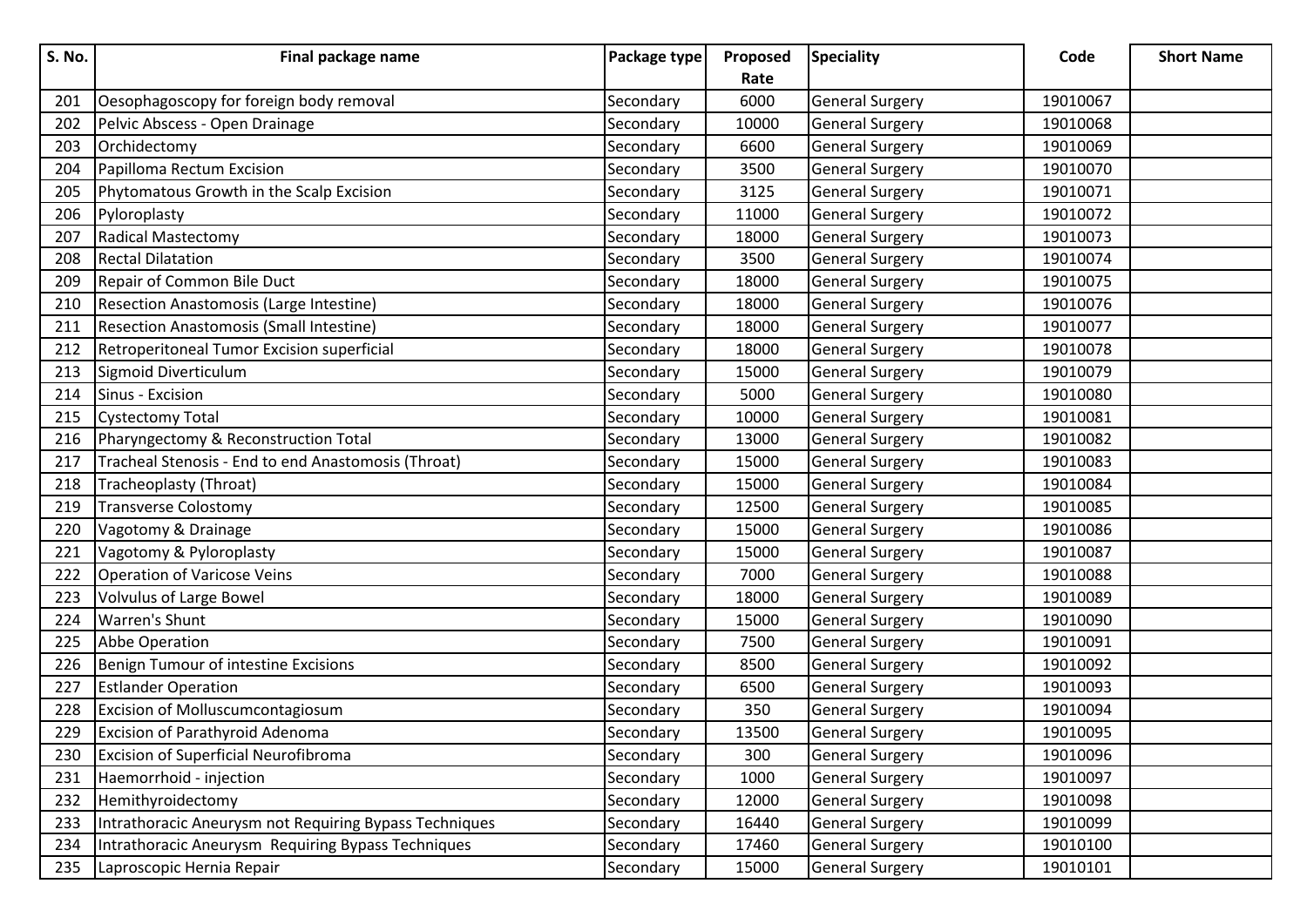| S. No. | Final package name                                     | Package type | Proposed | <b>Speciality</b>      | Code     | <b>Short Name</b> |
|--------|--------------------------------------------------------|--------------|----------|------------------------|----------|-------------------|
|        |                                                        |              | Rate     |                        |          |                   |
| 201    | Oesophagoscopy for foreign body removal                | Secondary    | 6000     | <b>General Surgery</b> | 19010067 |                   |
| 202    | Pelvic Abscess - Open Drainage                         | Secondary    | 10000    | <b>General Surgery</b> | 19010068 |                   |
| 203    | Orchidectomy                                           | Secondary    | 6600     | <b>General Surgery</b> | 19010069 |                   |
| 204    | Papilloma Rectum Excision                              | Secondary    | 3500     | <b>General Surgery</b> | 19010070 |                   |
| 205    | Phytomatous Growth in the Scalp Excision               | Secondary    | 3125     | <b>General Surgery</b> | 19010071 |                   |
| 206    | Pyloroplasty                                           | Secondary    | 11000    | <b>General Surgery</b> | 19010072 |                   |
| 207    | <b>Radical Mastectomy</b>                              | Secondary    | 18000    | <b>General Surgery</b> | 19010073 |                   |
| 208    | <b>Rectal Dilatation</b>                               | Secondary    | 3500     | <b>General Surgery</b> | 19010074 |                   |
| 209    | Repair of Common Bile Duct                             | Secondary    | 18000    | <b>General Surgery</b> | 19010075 |                   |
| 210    | Resection Anastomosis (Large Intestine)                | Secondary    | 18000    | <b>General Surgery</b> | 19010076 |                   |
| 211    | <b>Resection Anastomosis (Small Intestine)</b>         | Secondary    | 18000    | <b>General Surgery</b> | 19010077 |                   |
| 212    | Retroperitoneal Tumor Excision superficial             | Secondary    | 18000    | <b>General Surgery</b> | 19010078 |                   |
| 213    | Sigmoid Diverticulum                                   | Secondary    | 15000    | <b>General Surgery</b> | 19010079 |                   |
| 214    | Sinus - Excision                                       | Secondary    | 5000     | <b>General Surgery</b> | 19010080 |                   |
| 215    | <b>Cystectomy Total</b>                                | Secondary    | 10000    | <b>General Surgery</b> | 19010081 |                   |
| 216    | Pharyngectomy & Reconstruction Total                   | Secondary    | 13000    | <b>General Surgery</b> | 19010082 |                   |
| 217    | Tracheal Stenosis - End to end Anastomosis (Throat)    | Secondary    | 15000    | <b>General Surgery</b> | 19010083 |                   |
| 218    | Tracheoplasty (Throat)                                 | Secondary    | 15000    | <b>General Surgery</b> | 19010084 |                   |
| 219    | <b>Transverse Colostomy</b>                            | Secondary    | 12500    | <b>General Surgery</b> | 19010085 |                   |
| 220    | Vagotomy & Drainage                                    | Secondary    | 15000    | <b>General Surgery</b> | 19010086 |                   |
| 221    | Vagotomy & Pyloroplasty                                | Secondary    | 15000    | <b>General Surgery</b> | 19010087 |                   |
| 222    | <b>Operation of Varicose Veins</b>                     | Secondary    | 7000     | <b>General Surgery</b> | 19010088 |                   |
| 223    | Volvulus of Large Bowel                                | Secondary    | 18000    | <b>General Surgery</b> | 19010089 |                   |
| 224    | Warren's Shunt                                         | Secondary    | 15000    | <b>General Surgery</b> | 19010090 |                   |
| 225    | Abbe Operation                                         | Secondary    | 7500     | <b>General Surgery</b> | 19010091 |                   |
| 226    | Benign Tumour of intestine Excisions                   | Secondary    | 8500     | <b>General Surgery</b> | 19010092 |                   |
| 227    | <b>Estlander Operation</b>                             | Secondary    | 6500     | <b>General Surgery</b> | 19010093 |                   |
| 228    | Excision of Molluscumcontagiosum                       | Secondary    | 350      | <b>General Surgery</b> | 19010094 |                   |
| 229    | <b>Excision of Parathyroid Adenoma</b>                 | Secondary    | 13500    | General Surgery        | 19010095 |                   |
| 230    | <b>Excision of Superficial Neurofibroma</b>            | Secondary    | 300      | <b>General Surgery</b> | 19010096 |                   |
| 231    | Haemorrhoid - injection                                | Secondary    | 1000     | <b>General Surgery</b> | 19010097 |                   |
| 232    | Hemithyroidectomy                                      | Secondary    | 12000    | <b>General Surgery</b> | 19010098 |                   |
| 233    | Intrathoracic Aneurysm not Requiring Bypass Techniques | Secondary    | 16440    | <b>General Surgery</b> | 19010099 |                   |
| 234    | Intrathoracic Aneurysm Requiring Bypass Techniques     | Secondary    | 17460    | <b>General Surgery</b> | 19010100 |                   |
| 235    | Laproscopic Hernia Repair                              | Secondary    | 15000    | <b>General Surgery</b> | 19010101 |                   |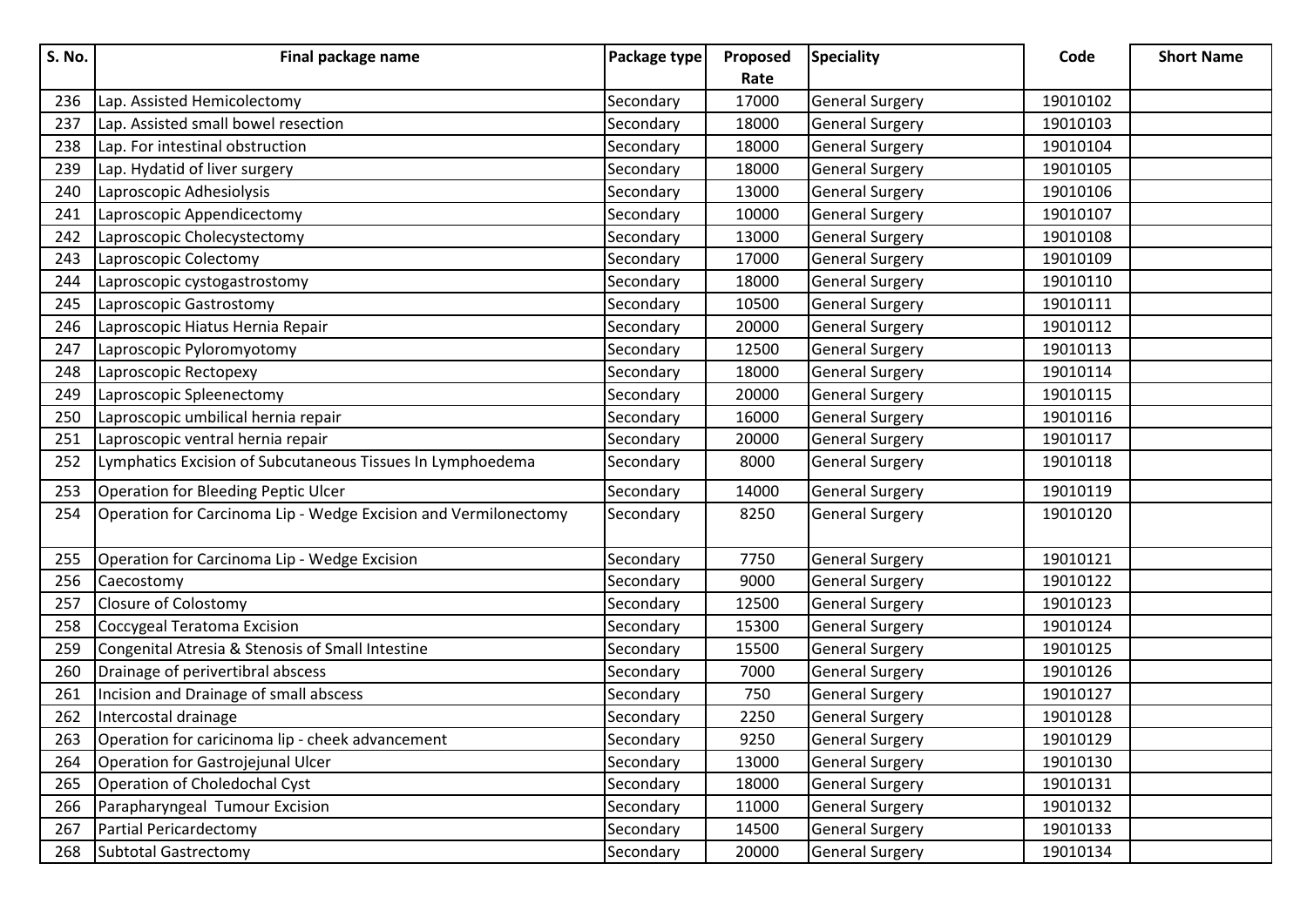| <b>S. No.</b> | Final package name                                              | Package type | Proposed | <b>Speciality</b>      | Code     | <b>Short Name</b> |
|---------------|-----------------------------------------------------------------|--------------|----------|------------------------|----------|-------------------|
|               |                                                                 |              | Rate     |                        |          |                   |
| 236           | Lap. Assisted Hemicolectomy                                     | Secondary    | 17000    | <b>General Surgery</b> | 19010102 |                   |
| 237           | Lap. Assisted small bowel resection                             | Secondary    | 18000    | <b>General Surgery</b> | 19010103 |                   |
| 238           | Lap. For intestinal obstruction                                 | Secondary    | 18000    | <b>General Surgery</b> | 19010104 |                   |
| 239           | Lap. Hydatid of liver surgery                                   | Secondary    | 18000    | <b>General Surgery</b> | 19010105 |                   |
| 240           | Laproscopic Adhesiolysis                                        | Secondary    | 13000    | <b>General Surgery</b> | 19010106 |                   |
| 241           | Laproscopic Appendicectomy                                      | Secondary    | 10000    | <b>General Surgery</b> | 19010107 |                   |
| 242           | Laproscopic Cholecystectomy                                     | Secondary    | 13000    | <b>General Surgery</b> | 19010108 |                   |
| 243           | Laproscopic Colectomy                                           | Secondary    | 17000    | <b>General Surgery</b> | 19010109 |                   |
| 244           | Laproscopic cystogastrostomy                                    | Secondary    | 18000    | <b>General Surgery</b> | 19010110 |                   |
| 245           | Laproscopic Gastrostomy                                         | Secondary    | 10500    | <b>General Surgery</b> | 19010111 |                   |
| 246           | Laproscopic Hiatus Hernia Repair                                | Secondary    | 20000    | <b>General Surgery</b> | 19010112 |                   |
| 247           | Laproscopic Pyloromyotomy                                       | Secondary    | 12500    | <b>General Surgery</b> | 19010113 |                   |
| 248           | Laproscopic Rectopexy                                           | Secondary    | 18000    | <b>General Surgery</b> | 19010114 |                   |
| 249           | Laproscopic Spleenectomy                                        | Secondary    | 20000    | <b>General Surgery</b> | 19010115 |                   |
| 250           | Laproscopic umbilical hernia repair                             | Secondary    | 16000    | <b>General Surgery</b> | 19010116 |                   |
| 251           | Laproscopic ventral hernia repair                               | Secondary    | 20000    | <b>General Surgery</b> | 19010117 |                   |
| 252           | Lymphatics Excision of Subcutaneous Tissues In Lymphoedema      | Secondary    | 8000     | <b>General Surgery</b> | 19010118 |                   |
| 253           | Operation for Bleeding Peptic Ulcer                             | Secondary    | 14000    | <b>General Surgery</b> | 19010119 |                   |
| 254           | Operation for Carcinoma Lip - Wedge Excision and Vermilonectomy | Secondary    | 8250     | <b>General Surgery</b> | 19010120 |                   |
| 255           | Operation for Carcinoma Lip - Wedge Excision                    | Secondary    | 7750     | <b>General Surgery</b> | 19010121 |                   |
| 256           | Caecostomy                                                      | Secondary    | 9000     | <b>General Surgery</b> | 19010122 |                   |
| 257           | Closure of Colostomy                                            | Secondary    | 12500    | <b>General Surgery</b> | 19010123 |                   |
| 258           | Coccygeal Teratoma Excision                                     | Secondary    | 15300    | <b>General Surgery</b> | 19010124 |                   |
| 259           | Congenital Atresia & Stenosis of Small Intestine                | Secondary    | 15500    | <b>General Surgery</b> | 19010125 |                   |
| 260           | Drainage of perivertibral abscess                               | Secondary    | 7000     | <b>General Surgery</b> | 19010126 |                   |
| 261           | Incision and Drainage of small abscess                          | Secondary    | 750      | <b>General Surgery</b> | 19010127 |                   |
| 262           | Intercostal drainage                                            | Secondary    | 2250     | <b>General Surgery</b> | 19010128 |                   |
| 263           | Operation for caricinoma lip - cheek advancement                | Secondary    | 9250     | <b>General Surgery</b> | 19010129 |                   |
| 264           | Operation for Gastrojejunal Ulcer                               | Secondary    | 13000    | <b>General Surgery</b> | 19010130 |                   |
| 265           | Operation of Choledochal Cyst                                   | Secondary    | 18000    | <b>General Surgery</b> | 19010131 |                   |
| 266           | Parapharyngeal Tumour Excision                                  | Secondary    | 11000    | <b>General Surgery</b> | 19010132 |                   |
| 267           | Partial Pericardectomy                                          | Secondary    | 14500    | <b>General Surgery</b> | 19010133 |                   |
| 268           | Subtotal Gastrectomy                                            | Secondary    | 20000    | <b>General Surgery</b> | 19010134 |                   |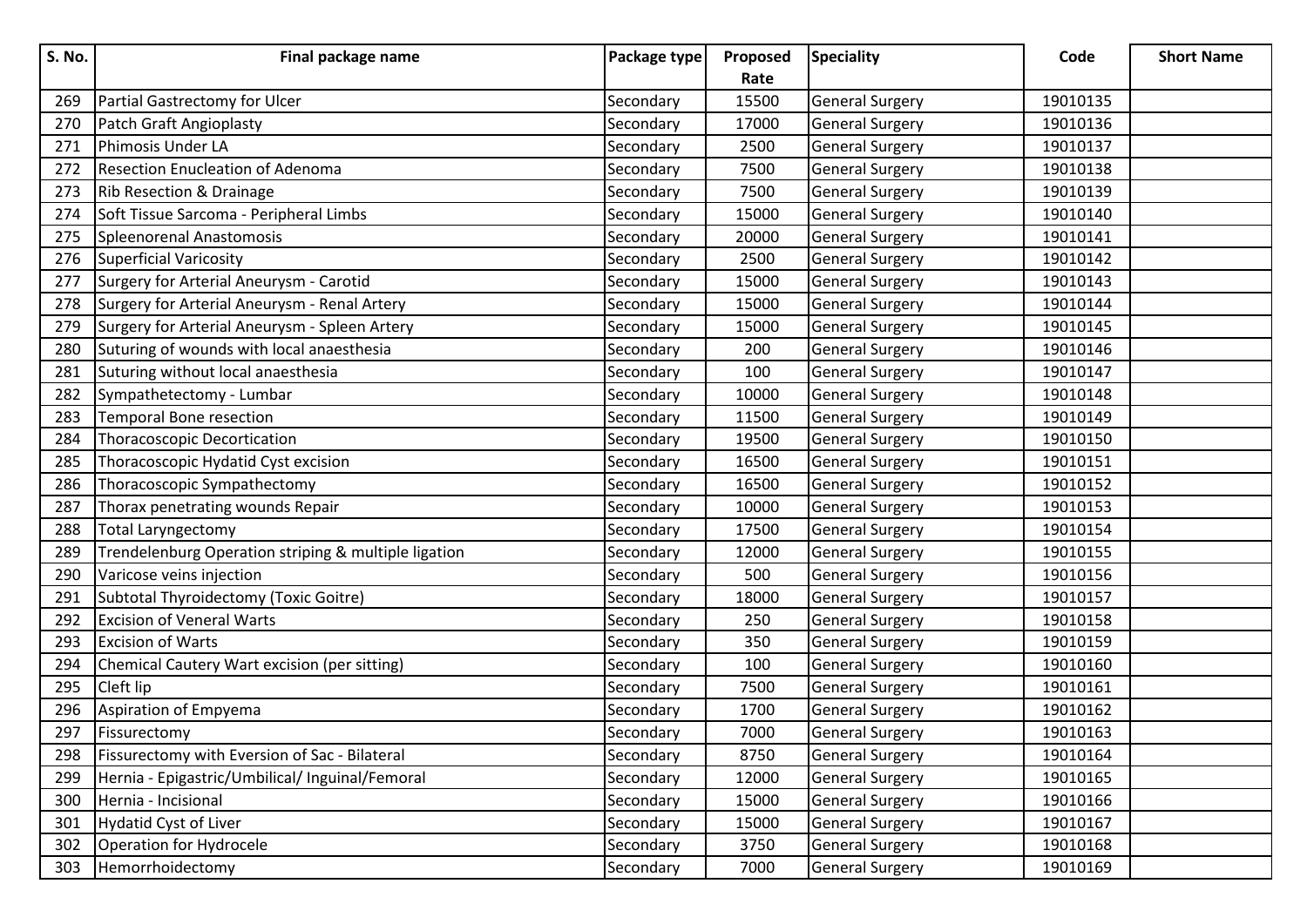| <b>S. No.</b> | Final package name                                   | Package type | Proposed | <b>Speciality</b>      | Code     | <b>Short Name</b> |
|---------------|------------------------------------------------------|--------------|----------|------------------------|----------|-------------------|
|               |                                                      |              | Rate     |                        |          |                   |
| 269           | Partial Gastrectomy for Ulcer                        | Secondary    | 15500    | <b>General Surgery</b> | 19010135 |                   |
| 270           | Patch Graft Angioplasty                              | Secondary    | 17000    | <b>General Surgery</b> | 19010136 |                   |
| 271           | Phimosis Under LA                                    | Secondary    | 2500     | <b>General Surgery</b> | 19010137 |                   |
| 272           | <b>Resection Enucleation of Adenoma</b>              | Secondary    | 7500     | <b>General Surgery</b> | 19010138 |                   |
| 273           | Rib Resection & Drainage                             | Secondary    | 7500     | <b>General Surgery</b> | 19010139 |                   |
| 274           | Soft Tissue Sarcoma - Peripheral Limbs               | Secondary    | 15000    | <b>General Surgery</b> | 19010140 |                   |
| 275           | Spleenorenal Anastomosis                             | Secondary    | 20000    | <b>General Surgery</b> | 19010141 |                   |
| 276           | <b>Superficial Varicosity</b>                        | Secondary    | 2500     | <b>General Surgery</b> | 19010142 |                   |
| 277           | Surgery for Arterial Aneurysm - Carotid              | Secondary    | 15000    | <b>General Surgery</b> | 19010143 |                   |
| 278           | Surgery for Arterial Aneurysm - Renal Artery         | Secondary    | 15000    | <b>General Surgery</b> | 19010144 |                   |
| 279           | Surgery for Arterial Aneurysm - Spleen Artery        | Secondary    | 15000    | <b>General Surgery</b> | 19010145 |                   |
| 280           | Suturing of wounds with local anaesthesia            | Secondary    | 200      | <b>General Surgery</b> | 19010146 |                   |
| 281           | Suturing without local anaesthesia                   | Secondary    | 100      | <b>General Surgery</b> | 19010147 |                   |
| 282           | Sympathetectomy - Lumbar                             | Secondary    | 10000    | <b>General Surgery</b> | 19010148 |                   |
| 283           | <b>Temporal Bone resection</b>                       | Secondary    | 11500    | <b>General Surgery</b> | 19010149 |                   |
| 284           | Thoracoscopic Decortication                          | Secondary    | 19500    | <b>General Surgery</b> | 19010150 |                   |
| 285           | Thoracoscopic Hydatid Cyst excision                  | Secondary    | 16500    | <b>General Surgery</b> | 19010151 |                   |
| 286           | Thoracoscopic Sympathectomy                          | Secondary    | 16500    | <b>General Surgery</b> | 19010152 |                   |
| 287           | Thorax penetrating wounds Repair                     | Secondary    | 10000    | <b>General Surgery</b> | 19010153 |                   |
| 288           | <b>Total Laryngectomy</b>                            | Secondary    | 17500    | <b>General Surgery</b> | 19010154 |                   |
| 289           | Trendelenburg Operation striping & multiple ligation | Secondary    | 12000    | <b>General Surgery</b> | 19010155 |                   |
| 290           | Varicose veins injection                             | Secondary    | 500      | <b>General Surgery</b> | 19010156 |                   |
| 291           | Subtotal Thyroidectomy (Toxic Goitre)                | Secondary    | 18000    | <b>General Surgery</b> | 19010157 |                   |
| 292           | <b>Excision of Veneral Warts</b>                     | Secondary    | 250      | <b>General Surgery</b> | 19010158 |                   |
| 293           | <b>Excision of Warts</b>                             | Secondary    | 350      | <b>General Surgery</b> | 19010159 |                   |
| 294           | Chemical Cautery Wart excision (per sitting)         | Secondary    | 100      | <b>General Surgery</b> | 19010160 |                   |
| 295           | Cleft lip                                            | Secondary    | 7500     | <b>General Surgery</b> | 19010161 |                   |
| 296           | Aspiration of Empyema                                | Secondary    | 1700     | <b>General Surgery</b> | 19010162 |                   |
| 297           | Fissurectomy                                         | Secondary    | 7000     | <b>General Surgery</b> | 19010163 |                   |
| 298           | Fissurectomy with Eversion of Sac - Bilateral        | Secondary    | 8750     | <b>General Surgery</b> | 19010164 |                   |
| 299           | Hernia - Epigastric/Umbilical/ Inguinal/Femoral      | Secondary    | 12000    | <b>General Surgery</b> | 19010165 |                   |
| 300           | Hernia - Incisional                                  | Secondary    | 15000    | <b>General Surgery</b> | 19010166 |                   |
| 301           | Hydatid Cyst of Liver                                | Secondary    | 15000    | <b>General Surgery</b> | 19010167 |                   |
| 302           | Operation for Hydrocele                              | Secondary    | 3750     | <b>General Surgery</b> | 19010168 |                   |
| 303           | Hemorrhoidectomy                                     | Secondary    | 7000     | <b>General Surgery</b> | 19010169 |                   |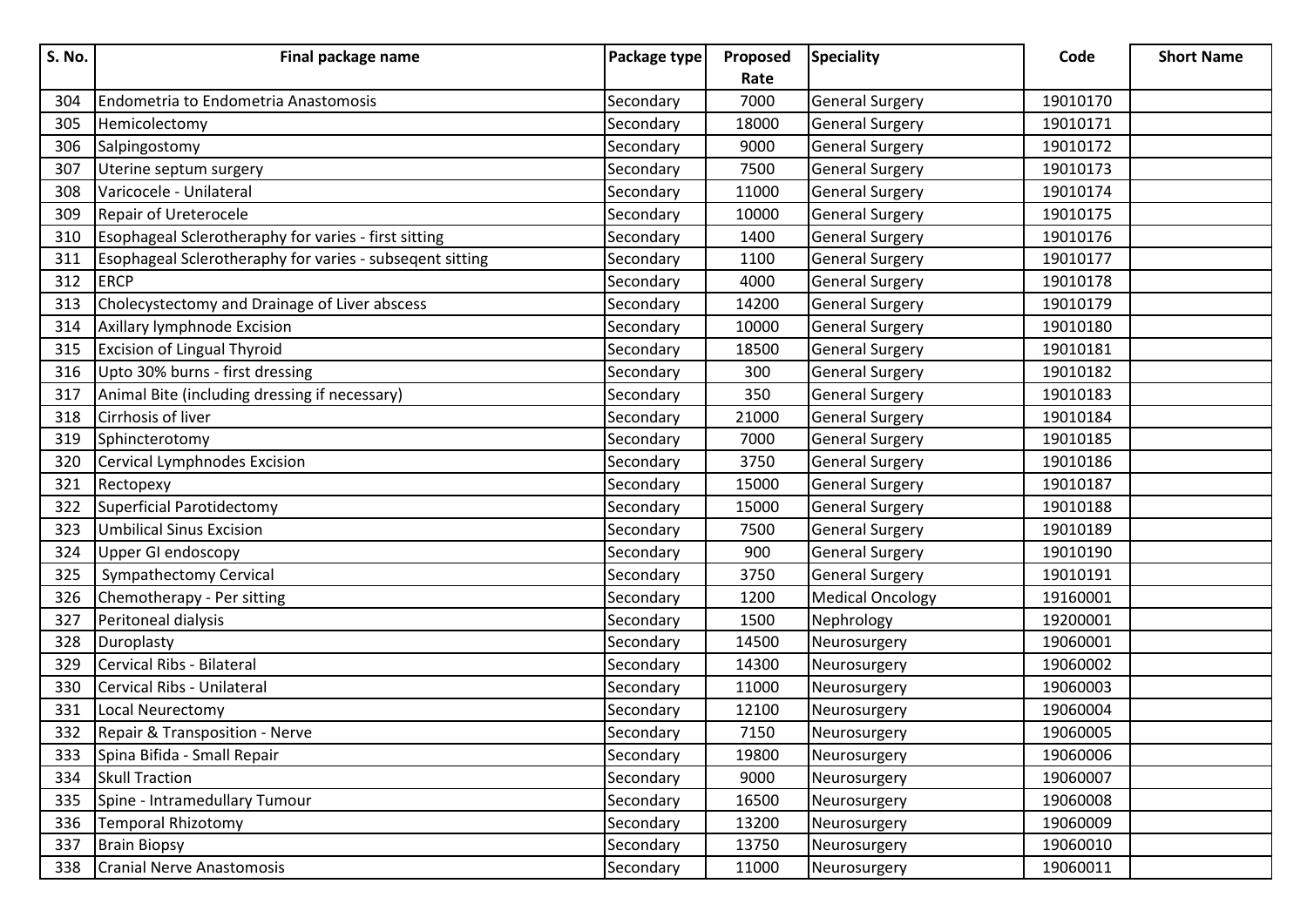| S. No. | Final package name                                       | Package type | Proposed | <b>Speciality</b>       | Code     | <b>Short Name</b> |
|--------|----------------------------------------------------------|--------------|----------|-------------------------|----------|-------------------|
|        |                                                          |              | Rate     |                         |          |                   |
| 304    | Endometria to Endometria Anastomosis                     | Secondary    | 7000     | <b>General Surgery</b>  | 19010170 |                   |
| 305    | Hemicolectomy                                            | Secondary    | 18000    | <b>General Surgery</b>  | 19010171 |                   |
| 306    | Salpingostomy                                            | Secondary    | 9000     | <b>General Surgery</b>  | 19010172 |                   |
| 307    | Uterine septum surgery                                   | Secondary    | 7500     | <b>General Surgery</b>  | 19010173 |                   |
| 308    | Varicocele - Unilateral                                  | Secondary    | 11000    | <b>General Surgery</b>  | 19010174 |                   |
| 309    | Repair of Ureterocele                                    | Secondary    | 10000    | <b>General Surgery</b>  | 19010175 |                   |
| 310    | Esophageal Sclerotheraphy for varies - first sitting     | Secondary    | 1400     | <b>General Surgery</b>  | 19010176 |                   |
| 311    | Esophageal Sclerotheraphy for varies - subseqent sitting | Secondary    | 1100     | <b>General Surgery</b>  | 19010177 |                   |
| 312    | <b>ERCP</b>                                              | Secondary    | 4000     | <b>General Surgery</b>  | 19010178 |                   |
| 313    | Cholecystectomy and Drainage of Liver abscess            | Secondary    | 14200    | <b>General Surgery</b>  | 19010179 |                   |
| 314    | Axillary lymphnode Excision                              | Secondary    | 10000    | <b>General Surgery</b>  | 19010180 |                   |
| 315    | <b>Excision of Lingual Thyroid</b>                       | Secondary    | 18500    | <b>General Surgery</b>  | 19010181 |                   |
| 316    | Upto 30% burns - first dressing                          | Secondary    | 300      | <b>General Surgery</b>  | 19010182 |                   |
| 317    | Animal Bite (including dressing if necessary)            | Secondary    | 350      | <b>General Surgery</b>  | 19010183 |                   |
| 318    | Cirrhosis of liver                                       | Secondary    | 21000    | <b>General Surgery</b>  | 19010184 |                   |
| 319    | Sphincterotomy                                           | Secondary    | 7000     | <b>General Surgery</b>  | 19010185 |                   |
| 320    | Cervical Lymphnodes Excision                             | Secondary    | 3750     | <b>General Surgery</b>  | 19010186 |                   |
| 321    | Rectopexy                                                | Secondary    | 15000    | <b>General Surgery</b>  | 19010187 |                   |
| 322    | Superficial Parotidectomy                                | Secondary    | 15000    | <b>General Surgery</b>  | 19010188 |                   |
| 323    | Umbilical Sinus Excision                                 | Secondary    | 7500     | <b>General Surgery</b>  | 19010189 |                   |
| 324    | Upper GI endoscopy                                       | Secondary    | 900      | <b>General Surgery</b>  | 19010190 |                   |
| 325    | <b>Sympathectomy Cervical</b>                            | Secondary    | 3750     | <b>General Surgery</b>  | 19010191 |                   |
| 326    | Chemotherapy - Per sitting                               | Secondary    | 1200     | <b>Medical Oncology</b> | 19160001 |                   |
| 327    | Peritoneal dialysis                                      | Secondary    | 1500     | Nephrology              | 19200001 |                   |
| 328    | Duroplasty                                               | Secondary    | 14500    | Neurosurgery            | 19060001 |                   |
| 329    | Cervical Ribs - Bilateral                                | Secondary    | 14300    | Neurosurgery            | 19060002 |                   |
| 330    | Cervical Ribs - Unilateral                               | Secondary    | 11000    | Neurosurgery            | 19060003 |                   |
| 331    | Local Neurectomy                                         | Secondary    | 12100    | Neurosurgery            | 19060004 |                   |
| 332    | Repair & Transposition - Nerve                           | Secondary    | 7150     | Neurosurgery            | 19060005 |                   |
| 333    | Spina Bifida - Small Repair                              | Secondary    | 19800    | Neurosurgery            | 19060006 |                   |
| 334    | <b>Skull Traction</b>                                    | Secondary    | 9000     | Neurosurgery            | 19060007 |                   |
| 335    | Spine - Intramedullary Tumour                            | Secondary    | 16500    | Neurosurgery            | 19060008 |                   |
| 336    | <b>Temporal Rhizotomy</b>                                | Secondary    | 13200    | Neurosurgery            | 19060009 |                   |
| 337    | <b>Brain Biopsy</b>                                      | Secondary    | 13750    | Neurosurgery            | 19060010 |                   |
| 338    | <b>Cranial Nerve Anastomosis</b>                         | Secondary    | 11000    | Neurosurgery            | 19060011 |                   |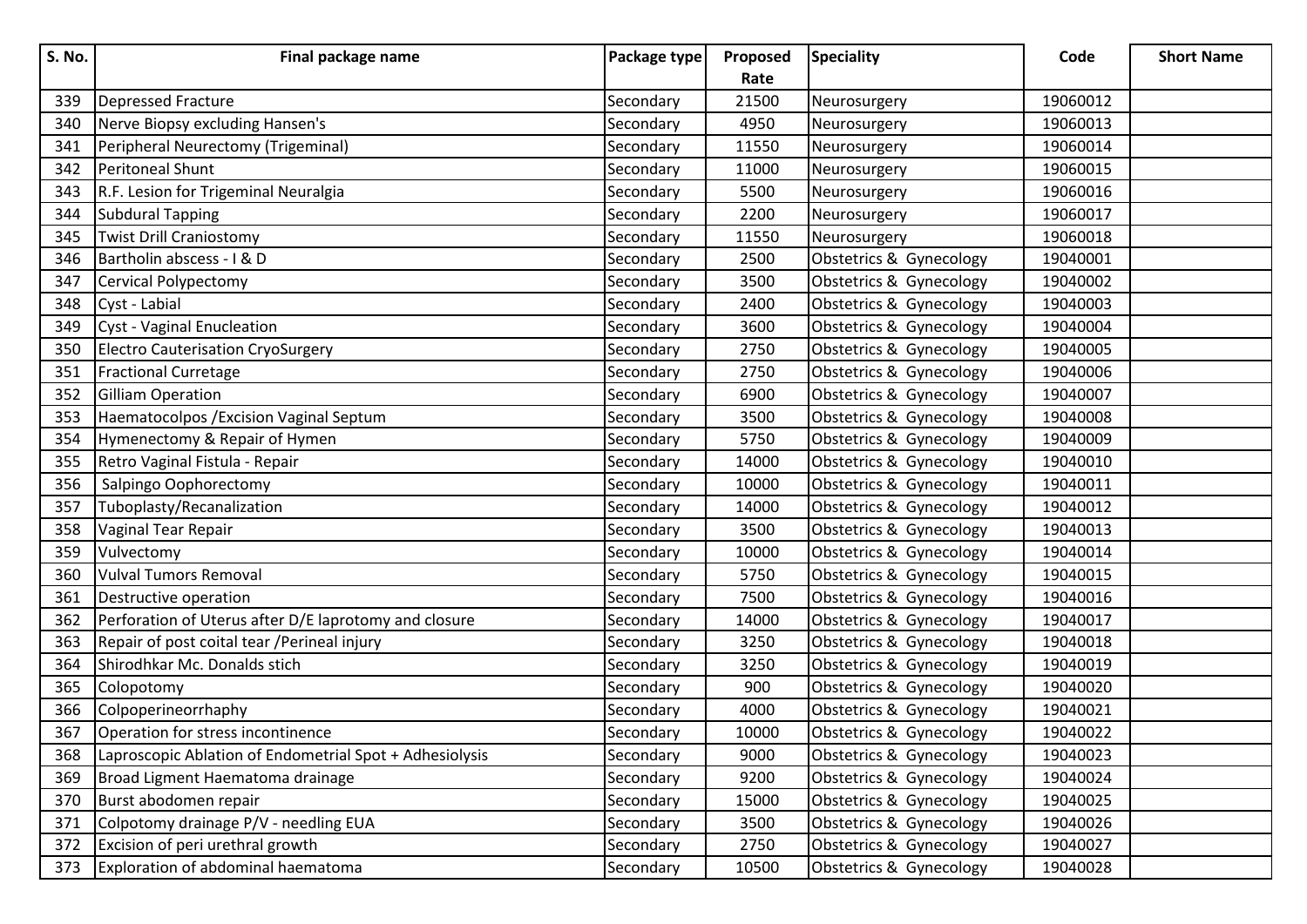| <b>S. No.</b> | Final package name                                      | Package type | Proposed | <b>Speciality</b>       | Code     | <b>Short Name</b> |
|---------------|---------------------------------------------------------|--------------|----------|-------------------------|----------|-------------------|
|               |                                                         |              | Rate     |                         |          |                   |
| 339           | Depressed Fracture                                      | Secondary    | 21500    | Neurosurgery            | 19060012 |                   |
| 340           | Nerve Biopsy excluding Hansen's                         | Secondary    | 4950     | Neurosurgery            | 19060013 |                   |
| 341           | Peripheral Neurectomy (Trigeminal)                      | Secondary    | 11550    | Neurosurgery            | 19060014 |                   |
| 342           | Peritoneal Shunt                                        | Secondary    | 11000    | Neurosurgery            | 19060015 |                   |
| 343           | R.F. Lesion for Trigeminal Neuralgia                    | Secondary    | 5500     | Neurosurgery            | 19060016 |                   |
| 344           | Subdural Tapping                                        | Secondary    | 2200     | Neurosurgery            | 19060017 |                   |
| 345           | <b>Twist Drill Craniostomy</b>                          | Secondary    | 11550    | Neurosurgery            | 19060018 |                   |
| 346           | Bartholin abscess - I & D                               | Secondary    | 2500     | Obstetrics & Gynecology | 19040001 |                   |
| 347           | Cervical Polypectomy                                    | Secondary    | 3500     | Obstetrics & Gynecology | 19040002 |                   |
| 348           | Cyst - Labial                                           | Secondary    | 2400     | Obstetrics & Gynecology | 19040003 |                   |
| 349           | Cyst - Vaginal Enucleation                              | Secondary    | 3600     | Obstetrics & Gynecology | 19040004 |                   |
| 350           | <b>Electro Cauterisation CryoSurgery</b>                | Secondary    | 2750     | Obstetrics & Gynecology | 19040005 |                   |
| 351           | <b>Fractional Curretage</b>                             | Secondary    | 2750     | Obstetrics & Gynecology | 19040006 |                   |
| 352           | Gilliam Operation                                       | Secondary    | 6900     | Obstetrics & Gynecology | 19040007 |                   |
| 353           | Haematocolpos / Excision Vaginal Septum                 | Secondary    | 3500     | Obstetrics & Gynecology | 19040008 |                   |
| 354           | Hymenectomy & Repair of Hymen                           | Secondary    | 5750     | Obstetrics & Gynecology | 19040009 |                   |
| 355           | Retro Vaginal Fistula - Repair                          | Secondary    | 14000    | Obstetrics & Gynecology | 19040010 |                   |
| 356           | Salpingo Oophorectomy                                   | Secondary    | 10000    | Obstetrics & Gynecology | 19040011 |                   |
| 357           | Tuboplasty/Recanalization                               | Secondary    | 14000    | Obstetrics & Gynecology | 19040012 |                   |
| 358           | Vaginal Tear Repair                                     | Secondary    | 3500     | Obstetrics & Gynecology | 19040013 |                   |
| 359           | Vulvectomy                                              | Secondary    | 10000    | Obstetrics & Gynecology | 19040014 |                   |
| 360           | <b>Vulval Tumors Removal</b>                            | Secondary    | 5750     | Obstetrics & Gynecology | 19040015 |                   |
| 361           | Destructive operation                                   | Secondary    | 7500     | Obstetrics & Gynecology | 19040016 |                   |
| 362           | Perforation of Uterus after D/E laprotomy and closure   | Secondary    | 14000    | Obstetrics & Gynecology | 19040017 |                   |
| 363           | Repair of post coital tear / Perineal injury            | Secondary    | 3250     | Obstetrics & Gynecology | 19040018 |                   |
| 364           | Shirodhkar Mc. Donalds stich                            | Secondary    | 3250     | Obstetrics & Gynecology | 19040019 |                   |
| 365           | Colopotomy                                              | Secondary    | 900      | Obstetrics & Gynecology | 19040020 |                   |
| 366           | Colpoperineorrhaphy                                     | Secondary    | 4000     | Obstetrics & Gynecology | 19040021 |                   |
| 367           | Operation for stress incontinence                       | Secondary    | 10000    | Obstetrics & Gynecology | 19040022 |                   |
| 368           | Laproscopic Ablation of Endometrial Spot + Adhesiolysis | Secondary    | 9000     | Obstetrics & Gynecology | 19040023 |                   |
| 369           | Broad Ligment Haematoma drainage                        | Secondary    | 9200     | Obstetrics & Gynecology | 19040024 |                   |
| 370           | Burst abodomen repair                                   | Secondary    | 15000    | Obstetrics & Gynecology | 19040025 |                   |
| 371           | Colpotomy drainage P/V - needling EUA                   | Secondary    | 3500     | Obstetrics & Gynecology | 19040026 |                   |
| 372           | Excision of peri urethral growth                        | Secondary    | 2750     | Obstetrics & Gynecology | 19040027 |                   |
| 373           | Exploration of abdominal haematoma                      | Secondary    | 10500    | Obstetrics & Gynecology | 19040028 |                   |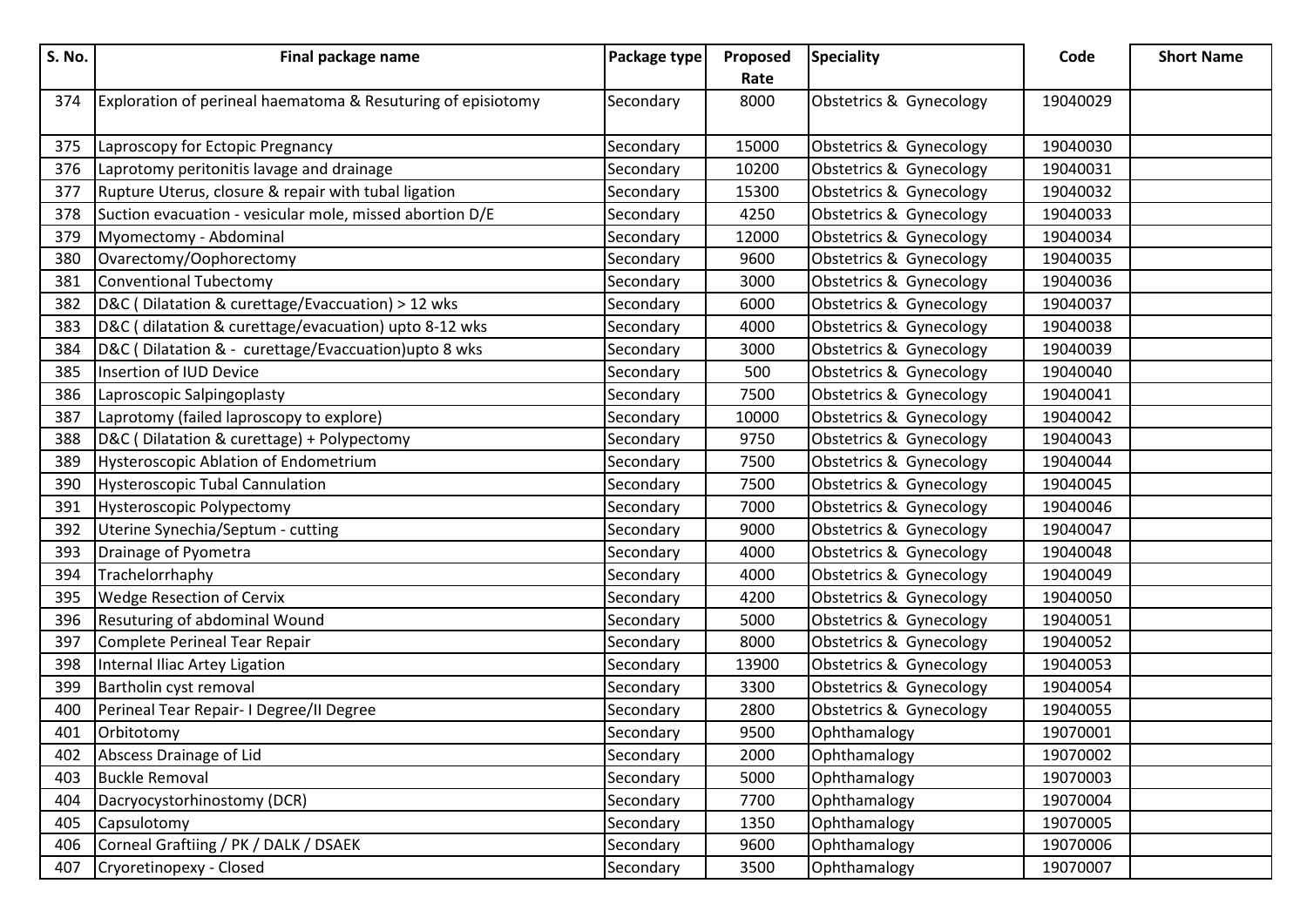| S. No. | Final package name                                           | Package type | Proposed | <b>Speciality</b>       | Code     | <b>Short Name</b> |
|--------|--------------------------------------------------------------|--------------|----------|-------------------------|----------|-------------------|
|        |                                                              |              | Rate     |                         |          |                   |
| 374    | Exploration of perineal haematoma & Resuturing of episiotomy | Secondary    | 8000     | Obstetrics & Gynecology | 19040029 |                   |
|        |                                                              |              |          |                         |          |                   |
| 375    | Laproscopy for Ectopic Pregnancy                             | Secondary    | 15000    | Obstetrics & Gynecology | 19040030 |                   |
| 376    | Laprotomy peritonitis lavage and drainage                    | Secondary    | 10200    | Obstetrics & Gynecology | 19040031 |                   |
| 377    | Rupture Uterus, closure & repair with tubal ligation         | Secondary    | 15300    | Obstetrics & Gynecology | 19040032 |                   |
| 378    | Suction evacuation - vesicular mole, missed abortion D/E     | Secondary    | 4250     | Obstetrics & Gynecology | 19040033 |                   |
| 379    | Myomectomy - Abdominal                                       | Secondary    | 12000    | Obstetrics & Gynecology | 19040034 |                   |
| 380    | Ovarectomy/Oophorectomy                                      | Secondary    | 9600     | Obstetrics & Gynecology | 19040035 |                   |
| 381    | Conventional Tubectomy                                       | Secondary    | 3000     | Obstetrics & Gynecology | 19040036 |                   |
| 382    | D&C (Dilatation & curettage/Evaccuation) > 12 wks            | Secondary    | 6000     | Obstetrics & Gynecology | 19040037 |                   |
| 383    | D&C (dilatation & curettage/evacuation) upto 8-12 wks        | Secondary    | 4000     | Obstetrics & Gynecology | 19040038 |                   |
| 384    | D&C (Dilatation & - curettage/Evaccuation)upto 8 wks         | Secondary    | 3000     | Obstetrics & Gynecology | 19040039 |                   |
| 385    | Insertion of IUD Device                                      | Secondary    | 500      | Obstetrics & Gynecology | 19040040 |                   |
| 386    | Laproscopic Salpingoplasty                                   | Secondary    | 7500     | Obstetrics & Gynecology | 19040041 |                   |
| 387    | Laprotomy (failed laproscopy to explore)                     | Secondary    | 10000    | Obstetrics & Gynecology | 19040042 |                   |
| 388    | D&C (Dilatation & curettage) + Polypectomy                   | Secondary    | 9750     | Obstetrics & Gynecology | 19040043 |                   |
| 389    | <b>Hysteroscopic Ablation of Endometrium</b>                 | Secondary    | 7500     | Obstetrics & Gynecology | 19040044 |                   |
| 390    | <b>Hysteroscopic Tubal Cannulation</b>                       | Secondary    | 7500     | Obstetrics & Gynecology | 19040045 |                   |
| 391    | Hysteroscopic Polypectomy                                    | Secondary    | 7000     | Obstetrics & Gynecology | 19040046 |                   |
| 392    | Uterine Synechia/Septum - cutting                            | Secondary    | 9000     | Obstetrics & Gynecology | 19040047 |                   |
| 393    | Drainage of Pyometra                                         | Secondary    | 4000     | Obstetrics & Gynecology | 19040048 |                   |
| 394    | Trachelorrhaphy                                              | Secondary    | 4000     | Obstetrics & Gynecology | 19040049 |                   |
| 395    | Wedge Resection of Cervix                                    | Secondary    | 4200     | Obstetrics & Gynecology | 19040050 |                   |
| 396    | Resuturing of abdominal Wound                                | Secondary    | 5000     | Obstetrics & Gynecology | 19040051 |                   |
| 397    | Complete Perineal Tear Repair                                | Secondary    | 8000     | Obstetrics & Gynecology | 19040052 |                   |
| 398    | Internal Iliac Artey Ligation                                | Secondary    | 13900    | Obstetrics & Gynecology | 19040053 |                   |
| 399    | Bartholin cyst removal                                       | Secondary    | 3300     | Obstetrics & Gynecology | 19040054 |                   |
| 400    | Perineal Tear Repair- I Degree/II Degree                     | Secondary    | 2800     | Obstetrics & Gynecology | 19040055 |                   |
| 401    | Orbitotomy                                                   | Secondary    | 9500     | Ophthamalogy            | 19070001 |                   |
| 402    | Abscess Drainage of Lid                                      | Secondary    | 2000     | Ophthamalogy            | 19070002 |                   |
| 403    | <b>Buckle Removal</b>                                        | Secondary    | 5000     | Ophthamalogy            | 19070003 |                   |
| 404    | Dacryocystorhinostomy (DCR)                                  | Secondary    | 7700     | Ophthamalogy            | 19070004 |                   |
| 405    | Capsulotomy                                                  | Secondary    | 1350     | Ophthamalogy            | 19070005 |                   |
| 406    | Corneal Graftiing / PK / DALK / DSAEK                        | Secondary    | 9600     | Ophthamalogy            | 19070006 |                   |
| 407    | Cryoretinopexy - Closed                                      | Secondary    | 3500     | Ophthamalogy            | 19070007 |                   |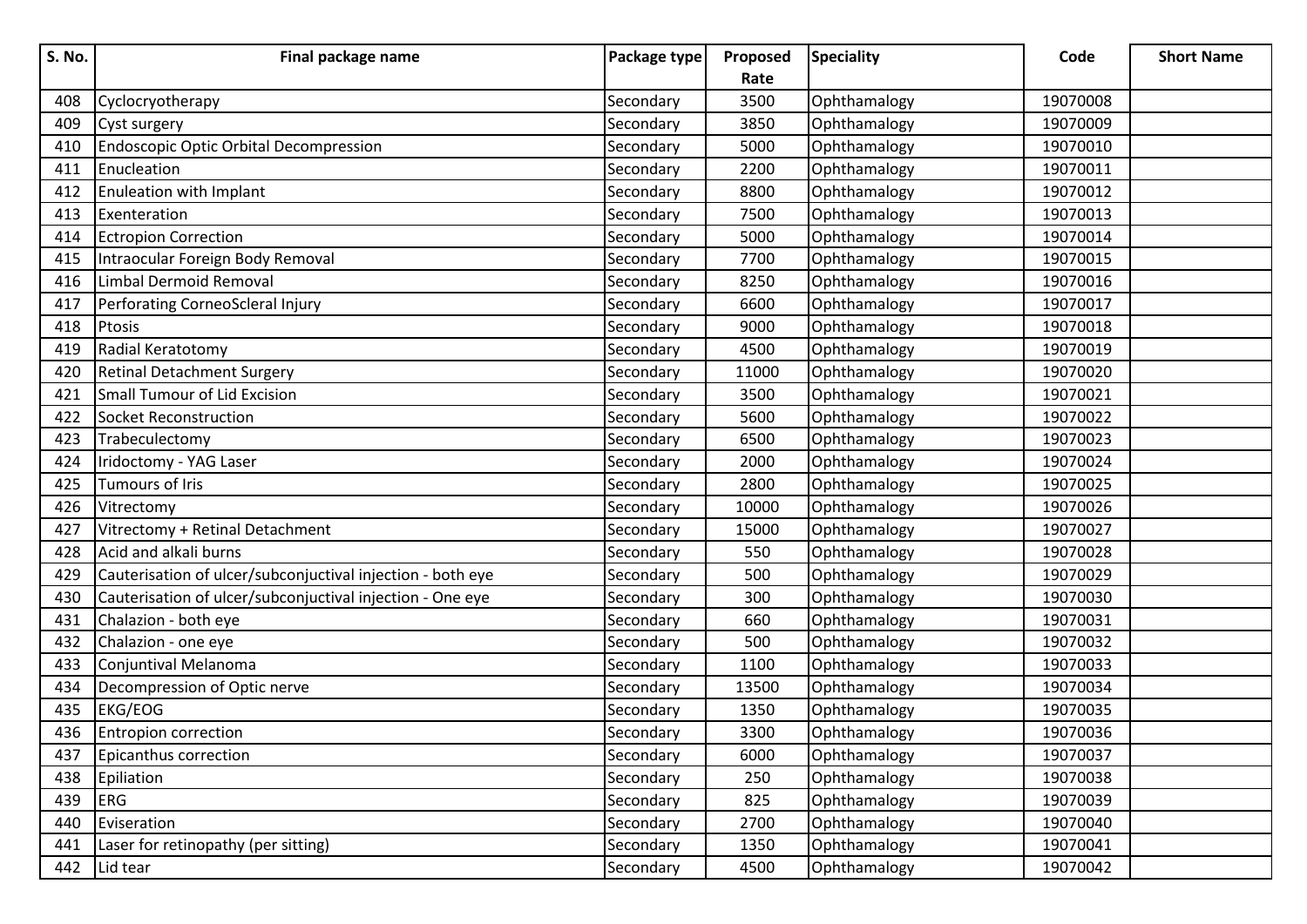| S. No. | Final package name                                         | Package type | Proposed | <b>Speciality</b> | Code     | <b>Short Name</b> |
|--------|------------------------------------------------------------|--------------|----------|-------------------|----------|-------------------|
|        |                                                            |              | Rate     |                   |          |                   |
| 408    | Cyclocryotherapy                                           | Secondary    | 3500     | Ophthamalogy      | 19070008 |                   |
| 409    | Cyst surgery                                               | Secondary    | 3850     | Ophthamalogy      | 19070009 |                   |
| 410    | <b>Endoscopic Optic Orbital Decompression</b>              | Secondary    | 5000     | Ophthamalogy      | 19070010 |                   |
| 411    | Enucleation                                                | Secondary    | 2200     | Ophthamalogy      | 19070011 |                   |
| 412    | Enuleation with Implant                                    | Secondary    | 8800     | Ophthamalogy      | 19070012 |                   |
| 413    | Exenteration                                               | Secondary    | 7500     | Ophthamalogy      | 19070013 |                   |
| 414    | <b>Ectropion Correction</b>                                | Secondary    | 5000     | Ophthamalogy      | 19070014 |                   |
| 415    | Intraocular Foreign Body Removal                           | Secondary    | 7700     | Ophthamalogy      | 19070015 |                   |
| 416    | Limbal Dermoid Removal                                     | Secondary    | 8250     | Ophthamalogy      | 19070016 |                   |
| 417    | Perforating CorneoScleral Injury                           | Secondary    | 6600     | Ophthamalogy      | 19070017 |                   |
| 418    | Ptosis                                                     | Secondary    | 9000     | Ophthamalogy      | 19070018 |                   |
| 419    | Radial Keratotomy                                          | Secondary    | 4500     | Ophthamalogy      | 19070019 |                   |
| 420    | <b>Retinal Detachment Surgery</b>                          | Secondary    | 11000    | Ophthamalogy      | 19070020 |                   |
| 421    | Small Tumour of Lid Excision                               | Secondary    | 3500     | Ophthamalogy      | 19070021 |                   |
| 422    | Socket Reconstruction                                      | Secondary    | 5600     | Ophthamalogy      | 19070022 |                   |
| 423    | Trabeculectomy                                             | Secondary    | 6500     | Ophthamalogy      | 19070023 |                   |
| 424    | Iridoctomy - YAG Laser                                     | Secondary    | 2000     | Ophthamalogy      | 19070024 |                   |
| 425    | Tumours of Iris                                            | Secondary    | 2800     | Ophthamalogy      | 19070025 |                   |
| 426    | Vitrectomy                                                 | Secondary    | 10000    | Ophthamalogy      | 19070026 |                   |
| 427    | Vitrectomy + Retinal Detachment                            | Secondary    | 15000    | Ophthamalogy      | 19070027 |                   |
| 428    | Acid and alkali burns                                      | Secondary    | 550      | Ophthamalogy      | 19070028 |                   |
| 429    | Cauterisation of ulcer/subconjuctival injection - both eye | Secondary    | 500      | Ophthamalogy      | 19070029 |                   |
| 430    | Cauterisation of ulcer/subconjuctival injection - One eye  | Secondary    | 300      | Ophthamalogy      | 19070030 |                   |
| 431    | Chalazion - both eye                                       | Secondary    | 660      | Ophthamalogy      | 19070031 |                   |
| 432    | Chalazion - one eye                                        | Secondary    | 500      | Ophthamalogy      | 19070032 |                   |
| 433    | Conjuntival Melanoma                                       | Secondary    | 1100     | Ophthamalogy      | 19070033 |                   |
| 434    | Decompression of Optic nerve                               | Secondary    | 13500    | Ophthamalogy      | 19070034 |                   |
| 435    | <b>EKG/EOG</b>                                             | Secondary    | 1350     | Ophthamalogy      | 19070035 |                   |
| 436    | <b>Entropion correction</b>                                | Secondary    | 3300     | Ophthamalogy      | 19070036 |                   |
| 437    | Epicanthus correction                                      | Secondary    | 6000     | Ophthamalogy      | 19070037 |                   |
| 438    | Epiliation                                                 | Secondary    | 250      | Ophthamalogy      | 19070038 |                   |
| 439    | ERG                                                        | Secondary    | 825      | Ophthamalogy      | 19070039 |                   |
| 440    | Eviseration                                                | Secondary    | 2700     | Ophthamalogy      | 19070040 |                   |
| 441    | Laser for retinopathy (per sitting)                        | Secondary    | 1350     | Ophthamalogy      | 19070041 |                   |
| 442    | Lid tear                                                   | Secondary    | 4500     | Ophthamalogy      | 19070042 |                   |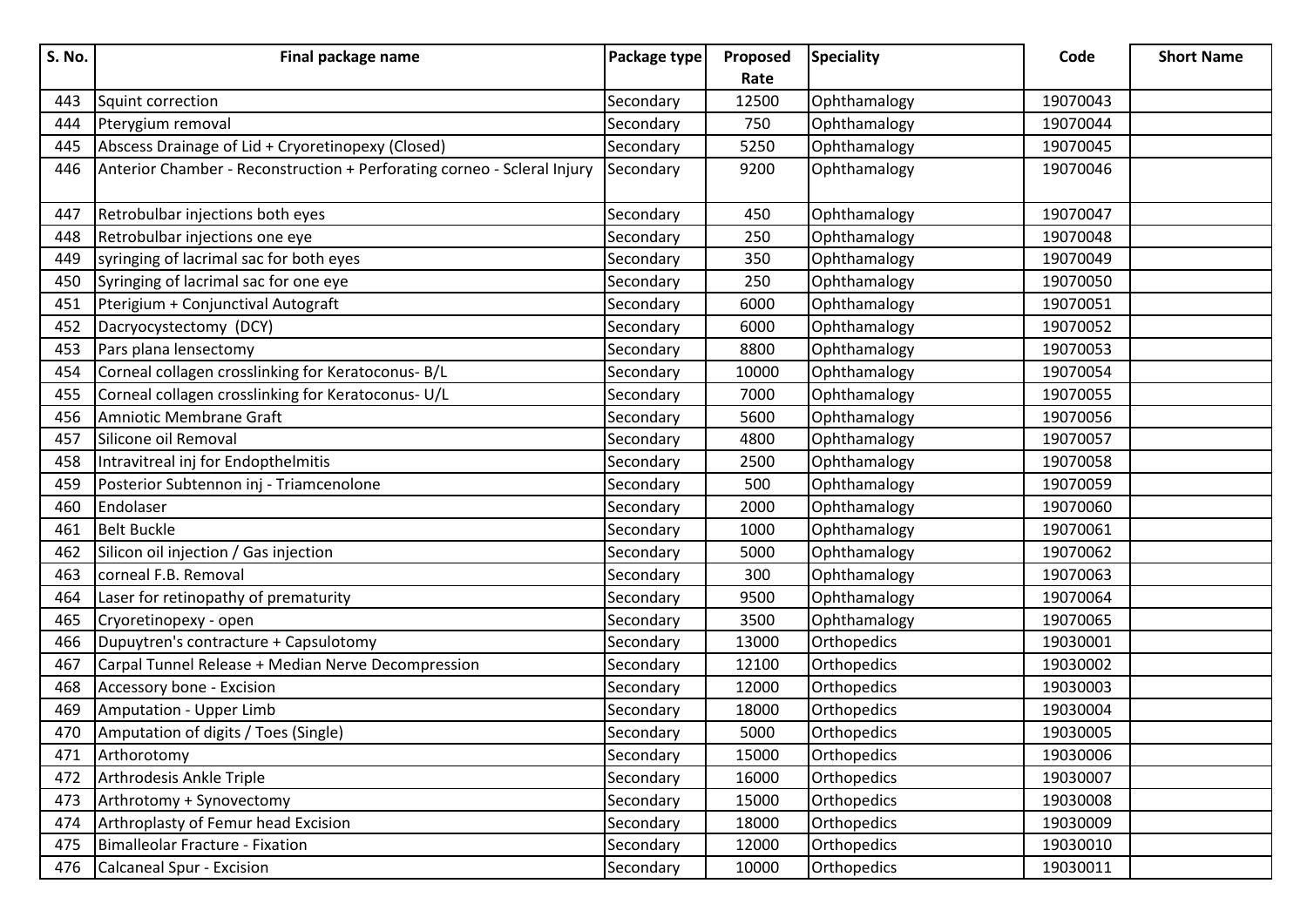| S. No. | Final package name                                                      | Package type | Proposed | <b>Speciality</b> | Code     | <b>Short Name</b> |
|--------|-------------------------------------------------------------------------|--------------|----------|-------------------|----------|-------------------|
|        |                                                                         |              | Rate     |                   |          |                   |
| 443    | Squint correction                                                       | Secondary    | 12500    | Ophthamalogy      | 19070043 |                   |
| 444    | Pterygium removal                                                       | Secondary    | 750      | Ophthamalogy      | 19070044 |                   |
| 445    | Abscess Drainage of Lid + Cryoretinopexy (Closed)                       | Secondary    | 5250     | Ophthamalogy      | 19070045 |                   |
| 446    | Anterior Chamber - Reconstruction + Perforating corneo - Scleral Injury | Secondary    | 9200     | Ophthamalogy      | 19070046 |                   |
| 447    | Retrobulbar injections both eyes                                        | Secondary    | 450      | Ophthamalogy      | 19070047 |                   |
| 448    | Retrobulbar injections one eye                                          | Secondary    | 250      | Ophthamalogy      | 19070048 |                   |
| 449    | syringing of lacrimal sac for both eyes                                 | Secondary    | 350      | Ophthamalogy      | 19070049 |                   |
| 450    | Syringing of lacrimal sac for one eye                                   | Secondary    | 250      | Ophthamalogy      | 19070050 |                   |
| 451    | Pterigium + Conjunctival Autograft                                      | Secondary    | 6000     | Ophthamalogy      | 19070051 |                   |
| 452    | Dacryocystectomy (DCY)                                                  | Secondary    | 6000     | Ophthamalogy      | 19070052 |                   |
| 453    | Pars plana lensectomy                                                   | Secondary    | 8800     | Ophthamalogy      | 19070053 |                   |
| 454    | Corneal collagen crosslinking for Keratoconus- B/L                      | Secondary    | 10000    | Ophthamalogy      | 19070054 |                   |
| 455    | Corneal collagen crosslinking for Keratoconus- U/L                      | Secondary    | 7000     | Ophthamalogy      | 19070055 |                   |
| 456    | Amniotic Membrane Graft                                                 | Secondary    | 5600     | Ophthamalogy      | 19070056 |                   |
| 457    | Silicone oil Removal                                                    | Secondary    | 4800     | Ophthamalogy      | 19070057 |                   |
| 458    | Intravitreal inj for Endopthelmitis                                     | Secondary    | 2500     | Ophthamalogy      | 19070058 |                   |
| 459    | Posterior Subtennon inj - Triamcenolone                                 | Secondary    | 500      | Ophthamalogy      | 19070059 |                   |
| 460    | Endolaser                                                               | Secondary    | 2000     | Ophthamalogy      | 19070060 |                   |
| 461    | <b>Belt Buckle</b>                                                      | Secondary    | 1000     | Ophthamalogy      | 19070061 |                   |
| 462    | Silicon oil injection / Gas injection                                   | Secondary    | 5000     | Ophthamalogy      | 19070062 |                   |
| 463    | corneal F.B. Removal                                                    | Secondary    | 300      | Ophthamalogy      | 19070063 |                   |
| 464    | Laser for retinopathy of prematurity                                    | Secondary    | 9500     | Ophthamalogy      | 19070064 |                   |
| 465    | Cryoretinopexy - open                                                   | Secondary    | 3500     | Ophthamalogy      | 19070065 |                   |
| 466    | Dupuytren's contracture + Capsulotomy                                   | Secondary    | 13000    | Orthopedics       | 19030001 |                   |
| 467    | Carpal Tunnel Release + Median Nerve Decompression                      | Secondary    | 12100    | Orthopedics       | 19030002 |                   |
| 468    | Accessory bone - Excision                                               | Secondary    | 12000    | Orthopedics       | 19030003 |                   |
| 469    | Amputation - Upper Limb                                                 | Secondary    | 18000    | Orthopedics       | 19030004 |                   |
| 470    | Amputation of digits / Toes (Single)                                    | Secondary    | 5000     | Orthopedics       | 19030005 |                   |
| 471    | Arthorotomy                                                             | Secondary    | 15000    | Orthopedics       | 19030006 |                   |
| 472    | Arthrodesis Ankle Triple                                                | Secondary    | 16000    | Orthopedics       | 19030007 |                   |
| 473    | Arthrotomy + Synovectomy                                                | Secondary    | 15000    | Orthopedics       | 19030008 |                   |
| 474    | Arthroplasty of Femur head Excision                                     | Secondary    | 18000    | Orthopedics       | 19030009 |                   |
| 475    | Bimalleolar Fracture - Fixation                                         | Secondary    | 12000    | Orthopedics       | 19030010 |                   |
| 476    | Calcaneal Spur - Excision                                               | Secondary    | 10000    | Orthopedics       | 19030011 |                   |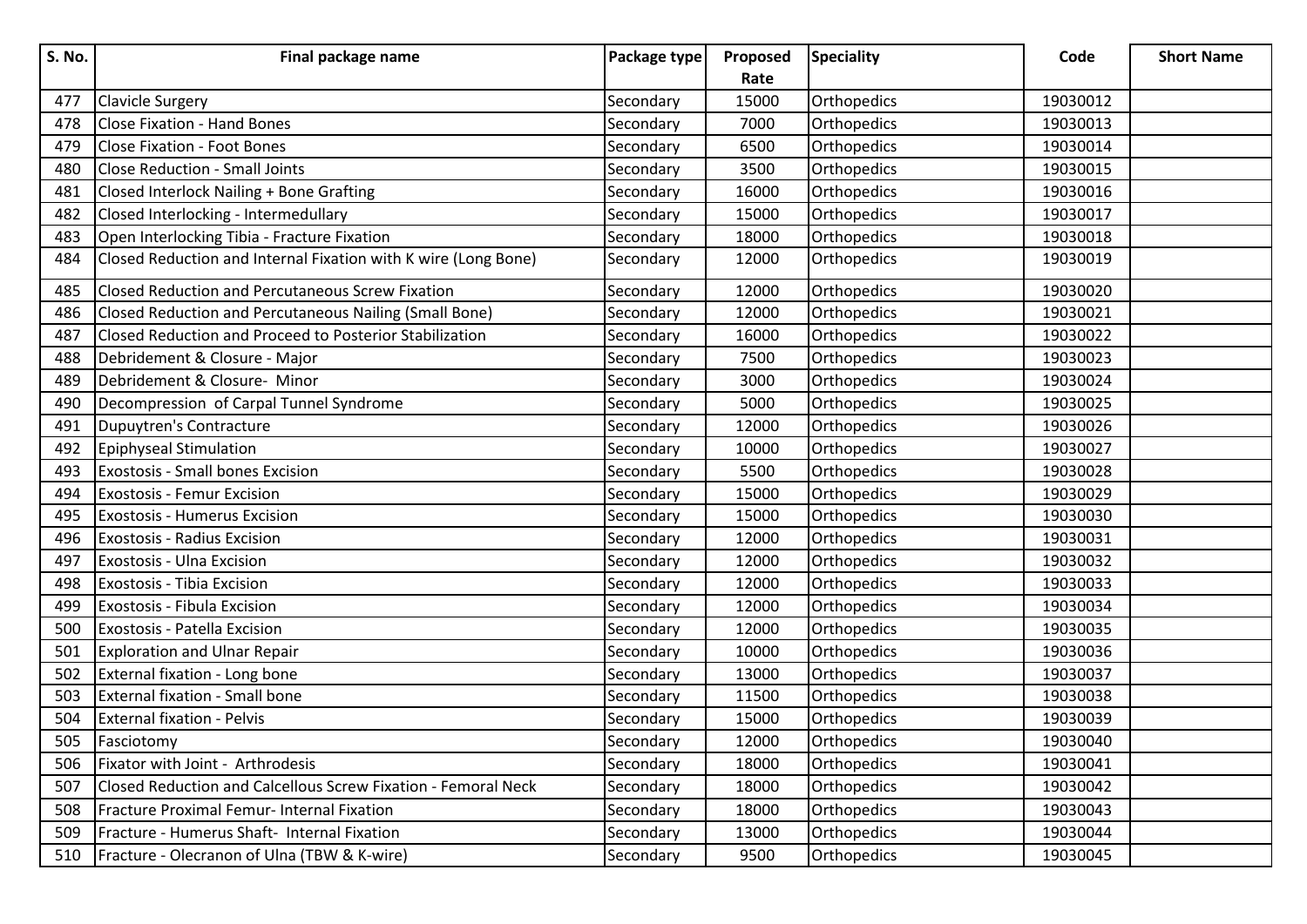| <b>S. No.</b> | Final package name                                             | Package type | Proposed | <b>Speciality</b> | Code     | <b>Short Name</b> |
|---------------|----------------------------------------------------------------|--------------|----------|-------------------|----------|-------------------|
|               |                                                                |              | Rate     |                   |          |                   |
| 477           | <b>Clavicle Surgery</b>                                        | Secondary    | 15000    | Orthopedics       | 19030012 |                   |
| 478           | <b>Close Fixation - Hand Bones</b>                             | Secondary    | 7000     | Orthopedics       | 19030013 |                   |
| 479           | <b>Close Fixation - Foot Bones</b>                             | Secondary    | 6500     | Orthopedics       | 19030014 |                   |
| 480           | <b>Close Reduction - Small Joints</b>                          | Secondary    | 3500     | Orthopedics       | 19030015 |                   |
| 481           | Closed Interlock Nailing + Bone Grafting                       | Secondary    | 16000    | Orthopedics       | 19030016 |                   |
| 482           | Closed Interlocking - Intermedullary                           | Secondary    | 15000    | Orthopedics       | 19030017 |                   |
| 483           | Open Interlocking Tibia - Fracture Fixation                    | Secondary    | 18000    | Orthopedics       | 19030018 |                   |
| 484           | Closed Reduction and Internal Fixation with K wire (Long Bone) | Secondary    | 12000    | Orthopedics       | 19030019 |                   |
| 485           | <b>Closed Reduction and Percutaneous Screw Fixation</b>        | Secondary    | 12000    | Orthopedics       | 19030020 |                   |
| 486           | Closed Reduction and Percutaneous Nailing (Small Bone)         | Secondary    | 12000    | Orthopedics       | 19030021 |                   |
| 487           | Closed Reduction and Proceed to Posterior Stabilization        | Secondary    | 16000    | Orthopedics       | 19030022 |                   |
| 488           | Debridement & Closure - Major                                  | Secondary    | 7500     | Orthopedics       | 19030023 |                   |
| 489           | Debridement & Closure- Minor                                   | Secondary    | 3000     | Orthopedics       | 19030024 |                   |
| 490           | Decompression of Carpal Tunnel Syndrome                        | Secondary    | 5000     | Orthopedics       | 19030025 |                   |
| 491           | <b>Dupuytren's Contracture</b>                                 | Secondary    | 12000    | Orthopedics       | 19030026 |                   |
| 492           | Epiphyseal Stimulation                                         | Secondary    | 10000    | Orthopedics       | 19030027 |                   |
| 493           | Exostosis - Small bones Excision                               | Secondary    | 5500     | Orthopedics       | 19030028 |                   |
| 494           | <b>Exostosis - Femur Excision</b>                              | Secondary    | 15000    | Orthopedics       | 19030029 |                   |
| 495           | <b>Exostosis - Humerus Excision</b>                            | Secondary    | 15000    | Orthopedics       | 19030030 |                   |
| 496           | Exostosis - Radius Excision                                    | Secondary    | 12000    | Orthopedics       | 19030031 |                   |
| 497           | Exostosis - Ulna Excision                                      | Secondary    | 12000    | Orthopedics       | 19030032 |                   |
| 498           | Exostosis - Tibia Excision                                     | Secondary    | 12000    | Orthopedics       | 19030033 |                   |
| 499           | Exostosis - Fibula Excision                                    | Secondary    | 12000    | Orthopedics       | 19030034 |                   |
| 500           | <b>Exostosis - Patella Excision</b>                            | Secondary    | 12000    | Orthopedics       | 19030035 |                   |
| 501           | <b>Exploration and Ulnar Repair</b>                            | Secondary    | 10000    | Orthopedics       | 19030036 |                   |
| 502           | External fixation - Long bone                                  | Secondary    | 13000    | Orthopedics       | 19030037 |                   |
| 503           | <b>External fixation - Small bone</b>                          | Secondary    | 11500    | Orthopedics       | 19030038 |                   |
| 504           | <b>External fixation - Pelvis</b>                              | Secondary    | 15000    | Orthopedics       | 19030039 |                   |
| 505           | Fasciotomy                                                     | Secondary    | 12000    | Orthopedics       | 19030040 |                   |
| 506           | Fixator with Joint - Arthrodesis                               | Secondary    | 18000    | Orthopedics       | 19030041 |                   |
| 507           | Closed Reduction and Calcellous Screw Fixation - Femoral Neck  | Secondary    | 18000    | Orthopedics       | 19030042 |                   |
| 508           | Fracture Proximal Femur- Internal Fixation                     | Secondary    | 18000    | Orthopedics       | 19030043 |                   |
| 509           | Fracture - Humerus Shaft- Internal Fixation                    | Secondary    | 13000    | Orthopedics       | 19030044 |                   |
| 510           | Fracture - Olecranon of Ulna (TBW & K-wire)                    | Secondary    | 9500     | Orthopedics       | 19030045 |                   |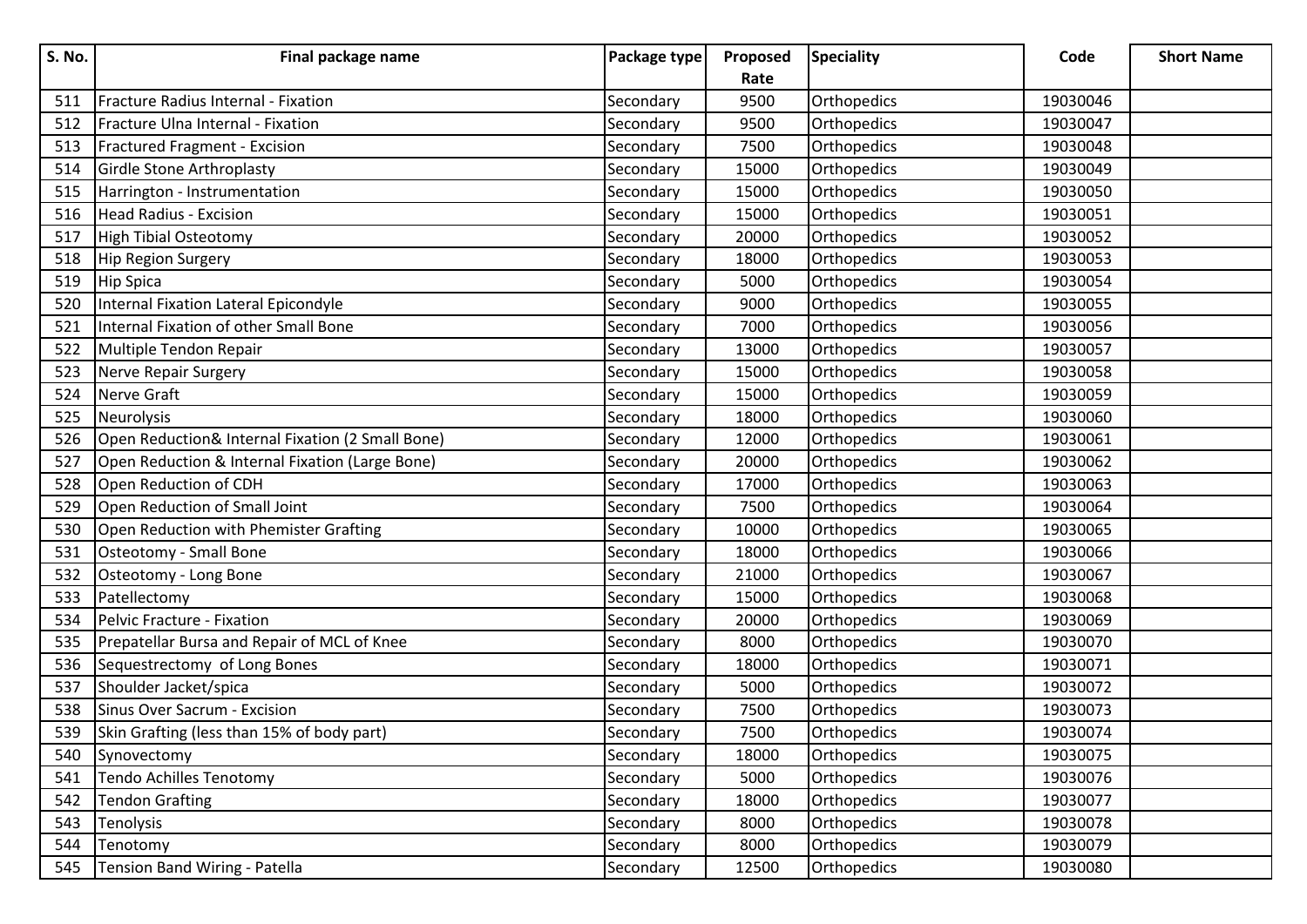| S. No. | Final package name                               | Package type | Proposed | <b>Speciality</b> | Code     | <b>Short Name</b> |
|--------|--------------------------------------------------|--------------|----------|-------------------|----------|-------------------|
|        |                                                  |              | Rate     |                   |          |                   |
| 511    | <b>Fracture Radius Internal - Fixation</b>       | Secondary    | 9500     | Orthopedics       | 19030046 |                   |
| 512    | Fracture Ulna Internal - Fixation                | Secondary    | 9500     | Orthopedics       | 19030047 |                   |
| 513    | Fractured Fragment - Excision                    | Secondary    | 7500     | Orthopedics       | 19030048 |                   |
| 514    | Girdle Stone Arthroplasty                        | Secondary    | 15000    | Orthopedics       | 19030049 |                   |
| 515    | Harrington - Instrumentation                     | Secondary    | 15000    | Orthopedics       | 19030050 |                   |
| 516    | Head Radius - Excision                           | Secondary    | 15000    | Orthopedics       | 19030051 |                   |
| 517    | High Tibial Osteotomy                            | Secondary    | 20000    | Orthopedics       | 19030052 |                   |
| 518    | Hip Region Surgery                               | Secondary    | 18000    | Orthopedics       | 19030053 |                   |
| 519    | <b>Hip Spica</b>                                 | Secondary    | 5000     | Orthopedics       | 19030054 |                   |
| 520    | Internal Fixation Lateral Epicondyle             | Secondary    | 9000     | Orthopedics       | 19030055 |                   |
| 521    | Internal Fixation of other Small Bone            | Secondary    | 7000     | Orthopedics       | 19030056 |                   |
| 522    | Multiple Tendon Repair                           | Secondary    | 13000    | Orthopedics       | 19030057 |                   |
| 523    | Nerve Repair Surgery                             | Secondary    | 15000    | Orthopedics       | 19030058 |                   |
| 524    | Nerve Graft                                      | Secondary    | 15000    | Orthopedics       | 19030059 |                   |
| 525    | Neurolysis                                       | Secondary    | 18000    | Orthopedics       | 19030060 |                   |
| 526    | Open Reduction& Internal Fixation (2 Small Bone) | Secondary    | 12000    | Orthopedics       | 19030061 |                   |
| 527    | Open Reduction & Internal Fixation (Large Bone)  | Secondary    | 20000    | Orthopedics       | 19030062 |                   |
| 528    | Open Reduction of CDH                            | Secondary    | 17000    | Orthopedics       | 19030063 |                   |
| 529    | Open Reduction of Small Joint                    | Secondary    | 7500     | Orthopedics       | 19030064 |                   |
| 530    | Open Reduction with Phemister Grafting           | Secondary    | 10000    | Orthopedics       | 19030065 |                   |
| 531    | Osteotomy - Small Bone                           | Secondary    | 18000    | Orthopedics       | 19030066 |                   |
| 532    | Osteotomy - Long Bone                            | Secondary    | 21000    | Orthopedics       | 19030067 |                   |
| 533    | Patellectomy                                     | Secondary    | 15000    | Orthopedics       | 19030068 |                   |
| 534    | Pelvic Fracture - Fixation                       | Secondary    | 20000    | Orthopedics       | 19030069 |                   |
| 535    | Prepatellar Bursa and Repair of MCL of Knee      | Secondary    | 8000     | Orthopedics       | 19030070 |                   |
| 536    | Sequestrectomy of Long Bones                     | Secondary    | 18000    | Orthopedics       | 19030071 |                   |
| 537    | Shoulder Jacket/spica                            | Secondary    | 5000     | Orthopedics       | 19030072 |                   |
| 538    | Sinus Over Sacrum - Excision                     | Secondary    | 7500     | Orthopedics       | 19030073 |                   |
| 539    | Skin Grafting (less than 15% of body part)       | Secondary    | 7500     | Orthopedics       | 19030074 |                   |
| 540    | Synovectomy                                      | Secondary    | 18000    | Orthopedics       | 19030075 |                   |
| 541    | <b>Tendo Achilles Tenotomy</b>                   | Secondary    | 5000     | Orthopedics       | 19030076 |                   |
| 542    | <b>Tendon Grafting</b>                           | Secondary    | 18000    | Orthopedics       | 19030077 |                   |
| 543    | Tenolysis                                        | Secondary    | 8000     | Orthopedics       | 19030078 |                   |
| 544    | Tenotomy                                         | Secondary    | 8000     | Orthopedics       | 19030079 |                   |
| 545    | Tension Band Wiring - Patella                    | Secondary    | 12500    | Orthopedics       | 19030080 |                   |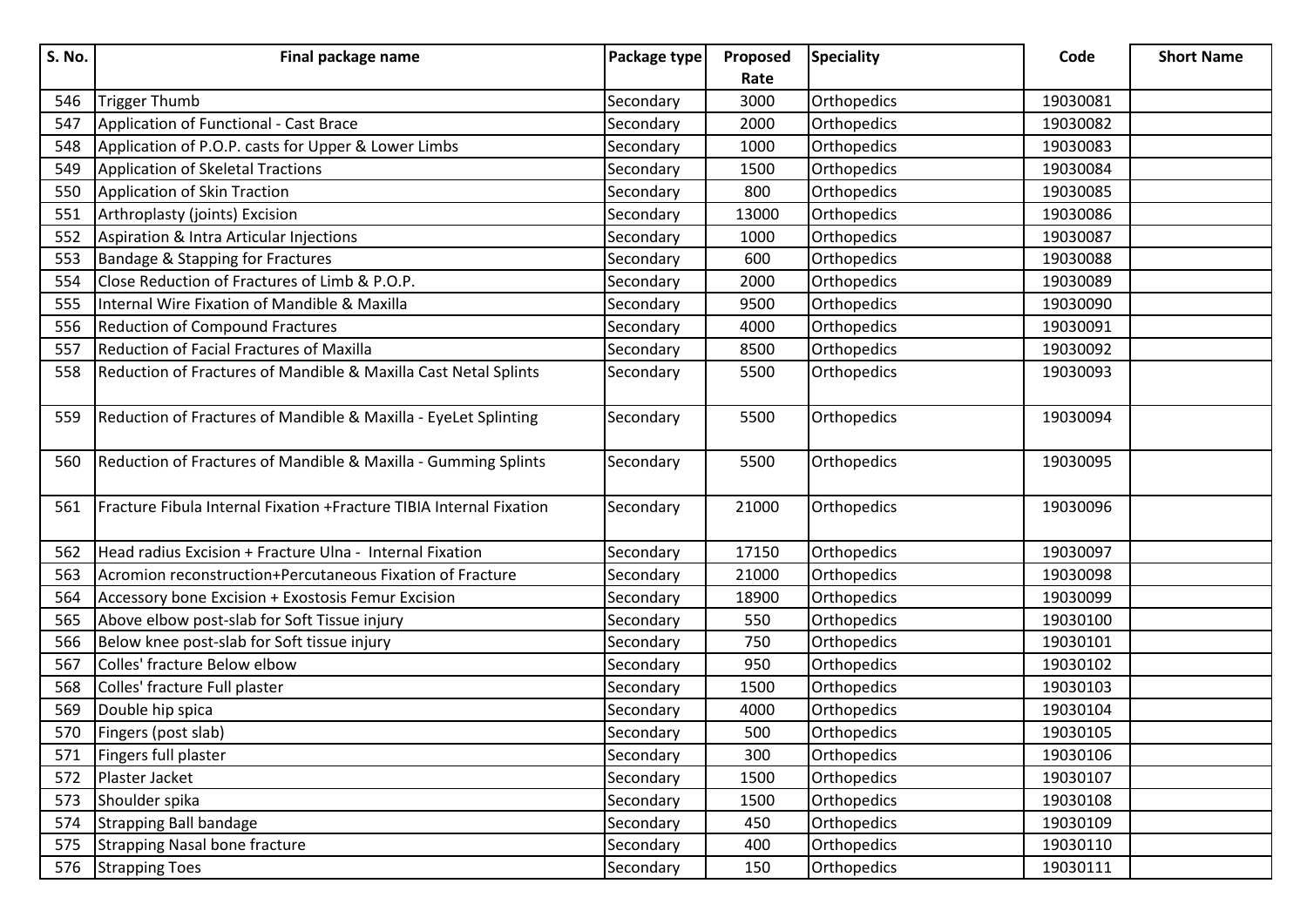| <b>S. No.</b> | Final package name                                                         | Package type | Proposed | <b>Speciality</b> | Code     | <b>Short Name</b> |
|---------------|----------------------------------------------------------------------------|--------------|----------|-------------------|----------|-------------------|
|               |                                                                            |              | Rate     |                   |          |                   |
| 546           | Trigger Thumb                                                              | Secondary    | 3000     | Orthopedics       | 19030081 |                   |
| 547           | Application of Functional - Cast Brace                                     | Secondary    | 2000     | Orthopedics       | 19030082 |                   |
| 548           | Application of P.O.P. casts for Upper & Lower Limbs                        | Secondary    | 1000     | Orthopedics       | 19030083 |                   |
| 549           | Application of Skeletal Tractions                                          | Secondary    | 1500     | Orthopedics       | 19030084 |                   |
| 550           | Application of Skin Traction                                               | Secondary    | 800      | Orthopedics       | 19030085 |                   |
| 551           | Arthroplasty (joints) Excision                                             | Secondary    | 13000    | Orthopedics       | 19030086 |                   |
| 552           | Aspiration & Intra Articular Injections                                    | Secondary    | 1000     | Orthopedics       | 19030087 |                   |
| 553           | <b>Bandage &amp; Stapping for Fractures</b>                                | Secondary    | 600      | Orthopedics       | 19030088 |                   |
| 554           | Close Reduction of Fractures of Limb & P.O.P.                              | Secondary    | 2000     | Orthopedics       | 19030089 |                   |
| 555           | Internal Wire Fixation of Mandible & Maxilla                               | Secondary    | 9500     | Orthopedics       | 19030090 |                   |
| 556           | <b>Reduction of Compound Fractures</b>                                     | Secondary    | 4000     | Orthopedics       | 19030091 |                   |
| 557           | <b>Reduction of Facial Fractures of Maxilla</b>                            | Secondary    | 8500     | Orthopedics       | 19030092 |                   |
| 558           | Reduction of Fractures of Mandible & Maxilla Cast Netal Splints            | Secondary    | 5500     | Orthopedics       | 19030093 |                   |
|               |                                                                            |              |          |                   |          |                   |
| 559           | Reduction of Fractures of Mandible & Maxilla - EyeLet Splinting            | Secondary    | 5500     | Orthopedics       | 19030094 |                   |
| 560           | Reduction of Fractures of Mandible & Maxilla - Gumming Splints             | Secondary    | 5500     | Orthopedics       | 19030095 |                   |
|               |                                                                            |              |          |                   |          |                   |
| 561           | <b>Fracture Fibula Internal Fixation +Fracture TIBIA Internal Fixation</b> | Secondary    | 21000    | Orthopedics       | 19030096 |                   |
|               |                                                                            |              |          |                   |          |                   |
| 562           | Head radius Excision + Fracture Ulna - Internal Fixation                   | Secondary    | 17150    | Orthopedics       | 19030097 |                   |
| 563           | Acromion reconstruction+Percutaneous Fixation of Fracture                  | Secondary    | 21000    | Orthopedics       | 19030098 |                   |
| 564           | Accessory bone Excision + Exostosis Femur Excision                         | Secondary    | 18900    | Orthopedics       | 19030099 |                   |
| 565           | Above elbow post-slab for Soft Tissue injury                               | Secondary    | 550      | Orthopedics       | 19030100 |                   |
| 566           | Below knee post-slab for Soft tissue injury                                | Secondary    | 750      | Orthopedics       | 19030101 |                   |
| 567           | Colles' fracture Below elbow                                               | Secondary    | 950      | Orthopedics       | 19030102 |                   |
| 568           | Colles' fracture Full plaster                                              | Secondary    | 1500     | Orthopedics       | 19030103 |                   |
| 569           | Double hip spica                                                           | Secondary    | 4000     | Orthopedics       | 19030104 |                   |
| 570           | Fingers (post slab)                                                        | Secondary    | 500      | Orthopedics       | 19030105 |                   |
| 571           | Fingers full plaster                                                       | Secondary    | 300      | Orthopedics       | 19030106 |                   |
| 572           | Plaster Jacket                                                             | Secondary    | 1500     | Orthopedics       | 19030107 |                   |
| 573           | Shoulder spika                                                             | Secondary    | 1500     | Orthopedics       | 19030108 |                   |
| 574           | Strapping Ball bandage                                                     | Secondary    | 450      | Orthopedics       | 19030109 |                   |
| 575           | Strapping Nasal bone fracture                                              | Secondary    | 400      | Orthopedics       | 19030110 |                   |
| 576           | <b>Strapping Toes</b>                                                      | Secondary    | 150      | Orthopedics       | 19030111 |                   |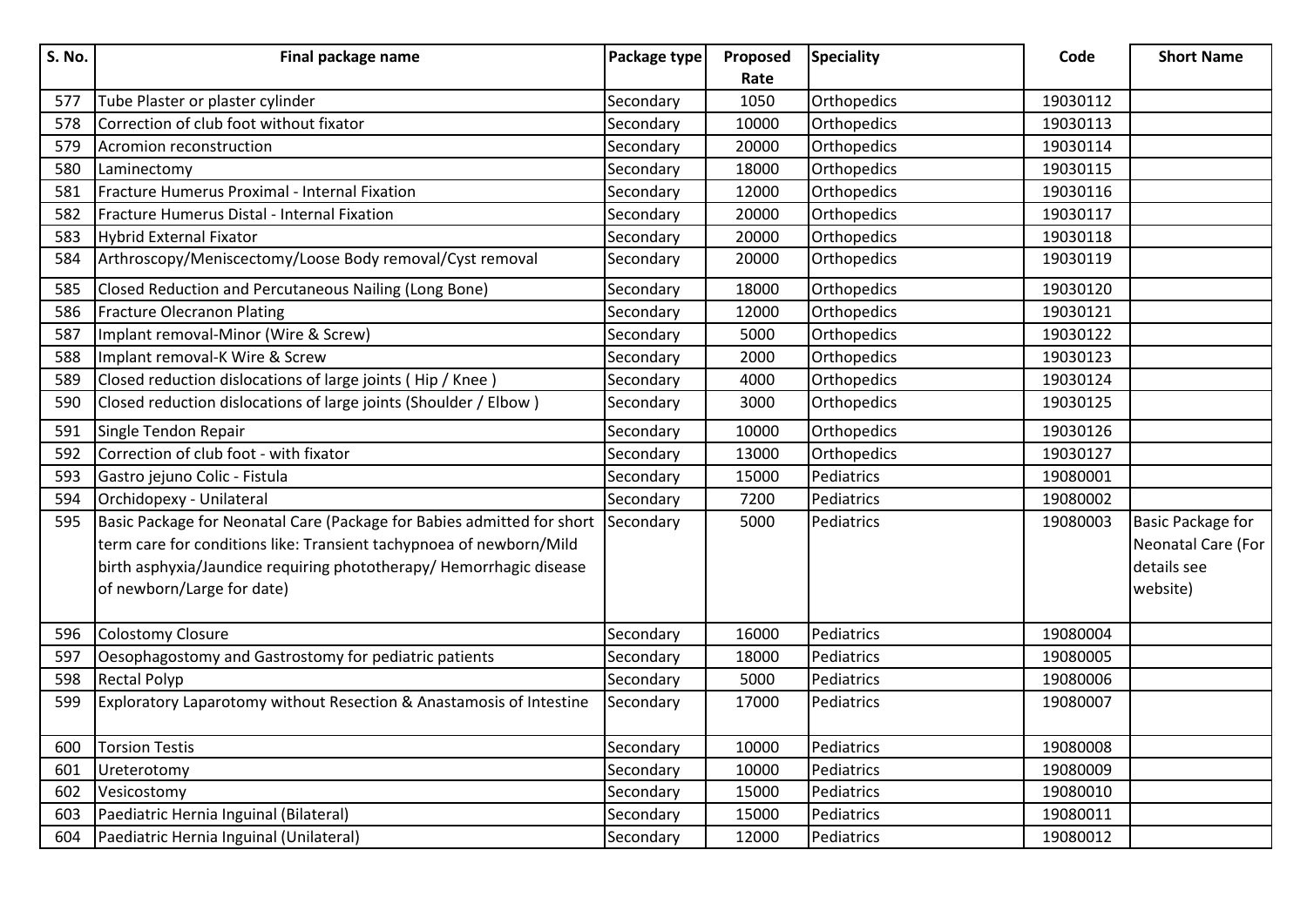| <b>S. No.</b> | Final package name                                                     | Package type | Proposed | <b>Speciality</b> | Code     | <b>Short Name</b>        |
|---------------|------------------------------------------------------------------------|--------------|----------|-------------------|----------|--------------------------|
|               |                                                                        |              | Rate     |                   |          |                          |
| 577           | Tube Plaster or plaster cylinder                                       | Secondary    | 1050     | Orthopedics       | 19030112 |                          |
| 578           | Correction of club foot without fixator                                | Secondary    | 10000    | Orthopedics       | 19030113 |                          |
| 579           | Acromion reconstruction                                                | Secondary    | 20000    | Orthopedics       | 19030114 |                          |
| 580           | Laminectomy                                                            | Secondary    | 18000    | Orthopedics       | 19030115 |                          |
| 581           | Fracture Humerus Proximal - Internal Fixation                          | Secondary    | 12000    | Orthopedics       | 19030116 |                          |
| 582           | Fracture Humerus Distal - Internal Fixation                            | Secondary    | 20000    | Orthopedics       | 19030117 |                          |
| 583           | Hybrid External Fixator                                                | Secondary    | 20000    | Orthopedics       | 19030118 |                          |
| 584           | Arthroscopy/Meniscectomy/Loose Body removal/Cyst removal               | Secondary    | 20000    | Orthopedics       | 19030119 |                          |
| 585           | Closed Reduction and Percutaneous Nailing (Long Bone)                  | Secondary    | 18000    | Orthopedics       | 19030120 |                          |
| 586           | <b>Fracture Olecranon Plating</b>                                      | Secondary    | 12000    | Orthopedics       | 19030121 |                          |
| 587           | Implant removal-Minor (Wire & Screw)                                   | Secondary    | 5000     | Orthopedics       | 19030122 |                          |
| 588           | Implant removal-K Wire & Screw                                         | Secondary    | 2000     | Orthopedics       | 19030123 |                          |
| 589           | Closed reduction dislocations of large joints (Hip / Knee)             | Secondary    | 4000     | Orthopedics       | 19030124 |                          |
| 590           | Closed reduction dislocations of large joints (Shoulder / Elbow)       | Secondary    | 3000     | Orthopedics       | 19030125 |                          |
| 591           | Single Tendon Repair                                                   | Secondary    | 10000    | Orthopedics       | 19030126 |                          |
| 592           | Correction of club foot - with fixator                                 | Secondary    | 13000    | Orthopedics       | 19030127 |                          |
| 593           | Gastro jejuno Colic - Fistula                                          | Secondary    | 15000    | Pediatrics        | 19080001 |                          |
| 594           | Orchidopexy - Unilateral                                               | Secondary    | 7200     | Pediatrics        | 19080002 |                          |
| 595           | Basic Package for Neonatal Care (Package for Babies admitted for short | Secondary    | 5000     | Pediatrics        | 19080003 | <b>Basic Package for</b> |
|               | term care for conditions like: Transient tachypnoea of newborn/Mild    |              |          |                   |          | Neonatal Care (For       |
|               | birth asphyxia/Jaundice requiring phototherapy/ Hemorrhagic disease    |              |          |                   |          | details see              |
|               | of newborn/Large for date)                                             |              |          |                   |          | website)                 |
|               |                                                                        |              |          |                   |          |                          |
| 596           | Colostomy Closure                                                      | Secondary    | 16000    | Pediatrics        | 19080004 |                          |
| 597           | Oesophagostomy and Gastrostomy for pediatric patients                  | Secondary    | 18000    | Pediatrics        | 19080005 |                          |
| 598           | <b>Rectal Polyp</b>                                                    | Secondary    | 5000     | Pediatrics        | 19080006 |                          |
| 599           | Exploratory Laparotomy without Resection & Anastamosis of Intestine    | Secondary    | 17000    | Pediatrics        | 19080007 |                          |
| 600           | <b>Torsion Testis</b>                                                  | Secondary    | 10000    | Pediatrics        | 19080008 |                          |
| 601           | Ureterotomy                                                            | Secondary    | 10000    | Pediatrics        | 19080009 |                          |
| 602           | Vesicostomy                                                            | Secondary    | 15000    | Pediatrics        | 19080010 |                          |
| 603           | Paediatric Hernia Inguinal (Bilateral)                                 | Secondary    | 15000    | Pediatrics        | 19080011 |                          |
| 604           | Paediatric Hernia Inguinal (Unilateral)                                | Secondary    | 12000    | Pediatrics        | 19080012 |                          |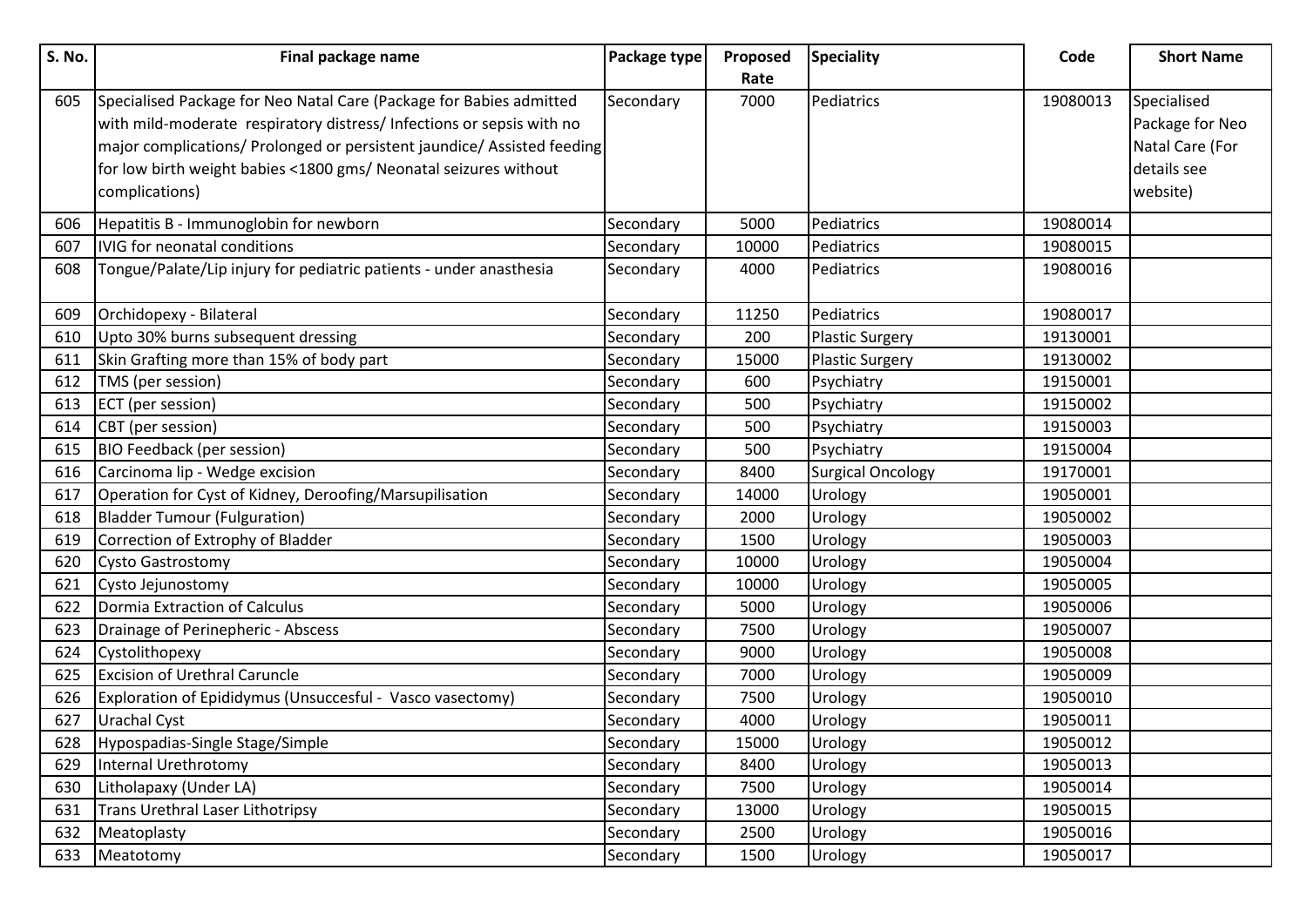| S. No. | Final package name                                                      | Package type | Proposed | <b>Speciality</b>        | Code     | <b>Short Name</b> |
|--------|-------------------------------------------------------------------------|--------------|----------|--------------------------|----------|-------------------|
|        |                                                                         |              | Rate     |                          |          |                   |
| 605    | Specialised Package for Neo Natal Care (Package for Babies admitted     | Secondary    | 7000     | Pediatrics               | 19080013 | Specialised       |
|        | with mild-moderate respiratory distress/ Infections or sepsis with no   |              |          |                          |          | Package for Neo   |
|        | major complications/ Prolonged or persistent jaundice/ Assisted feeding |              |          |                          |          | Natal Care (For   |
|        | for low birth weight babies <1800 gms/ Neonatal seizures without        |              |          |                          |          | details see       |
|        | complications)                                                          |              |          |                          |          | website)          |
| 606    | Hepatitis B - Immunoglobin for newborn                                  | Secondary    | 5000     | Pediatrics               | 19080014 |                   |
| 607    | IVIG for neonatal conditions                                            | Secondary    | 10000    | Pediatrics               | 19080015 |                   |
| 608    | Tongue/Palate/Lip injury for pediatric patients - under anasthesia      | Secondary    | 4000     | Pediatrics               | 19080016 |                   |
| 609    | Orchidopexy - Bilateral                                                 | Secondary    | 11250    | Pediatrics               | 19080017 |                   |
| 610    | Upto 30% burns subsequent dressing                                      | Secondary    | 200      | <b>Plastic Surgery</b>   | 19130001 |                   |
| 611    | Skin Grafting more than 15% of body part                                | Secondary    | 15000    | <b>Plastic Surgery</b>   | 19130002 |                   |
| 612    | TMS (per session)                                                       | Secondary    | 600      | Psychiatry               | 19150001 |                   |
| 613    | <b>ECT</b> (per session)                                                | Secondary    | 500      | Psychiatry               | 19150002 |                   |
| 614    | CBT (per session)                                                       | Secondary    | 500      | Psychiatry               | 19150003 |                   |
| 615    | <b>BIO Feedback (per session)</b>                                       | Secondary    | 500      | Psychiatry               | 19150004 |                   |
| 616    | Carcinoma lip - Wedge excision                                          | Secondary    | 8400     | <b>Surgical Oncology</b> | 19170001 |                   |
| 617    | Operation for Cyst of Kidney, Deroofing/Marsupilisation                 | Secondary    | 14000    | Urology                  | 19050001 |                   |
| 618    | <b>Bladder Tumour (Fulguration)</b>                                     | Secondary    | 2000     | Urology                  | 19050002 |                   |
| 619    | Correction of Extrophy of Bladder                                       | Secondary    | 1500     | Urology                  | 19050003 |                   |
| 620    | <b>Cysto Gastrostomy</b>                                                | Secondary    | 10000    | Urology                  | 19050004 |                   |
| 621    | Cysto Jejunostomy                                                       | Secondary    | 10000    | Urology                  | 19050005 |                   |
| 622    | Dormia Extraction of Calculus                                           | Secondary    | 5000     | Urology                  | 19050006 |                   |
| 623    | Drainage of Perinepheric - Abscess                                      | Secondary    | 7500     | Urology                  | 19050007 |                   |
| 624    | Cystolithopexy                                                          | Secondary    | 9000     | Urology                  | 19050008 |                   |
| 625    | <b>Excision of Urethral Caruncle</b>                                    | Secondary    | 7000     | Urology                  | 19050009 |                   |
| 626    | Exploration of Epididymus (Unsuccesful - Vasco vasectomy)               | Secondary    | 7500     | Urology                  | 19050010 |                   |
| 627    | <b>Urachal Cyst</b>                                                     | Secondary    | 4000     | Urology                  | 19050011 |                   |
| 628    | Hypospadias-Single Stage/Simple                                         | Secondary    | 15000    | Urology                  | 19050012 |                   |
| 629    | Internal Urethrotomy                                                    | Secondary    | 8400     | Urology                  | 19050013 |                   |
| 630    | Litholapaxy (Under LA)                                                  | Secondary    | 7500     | Urology                  | 19050014 |                   |
| 631    | Trans Urethral Laser Lithotripsy                                        | Secondary    | 13000    | Urology                  | 19050015 |                   |
| 632    | Meatoplasty                                                             | Secondary    | 2500     | Urology                  | 19050016 |                   |
| 633    | Meatotomy                                                               | Secondary    | 1500     | <b>Urology</b>           | 19050017 |                   |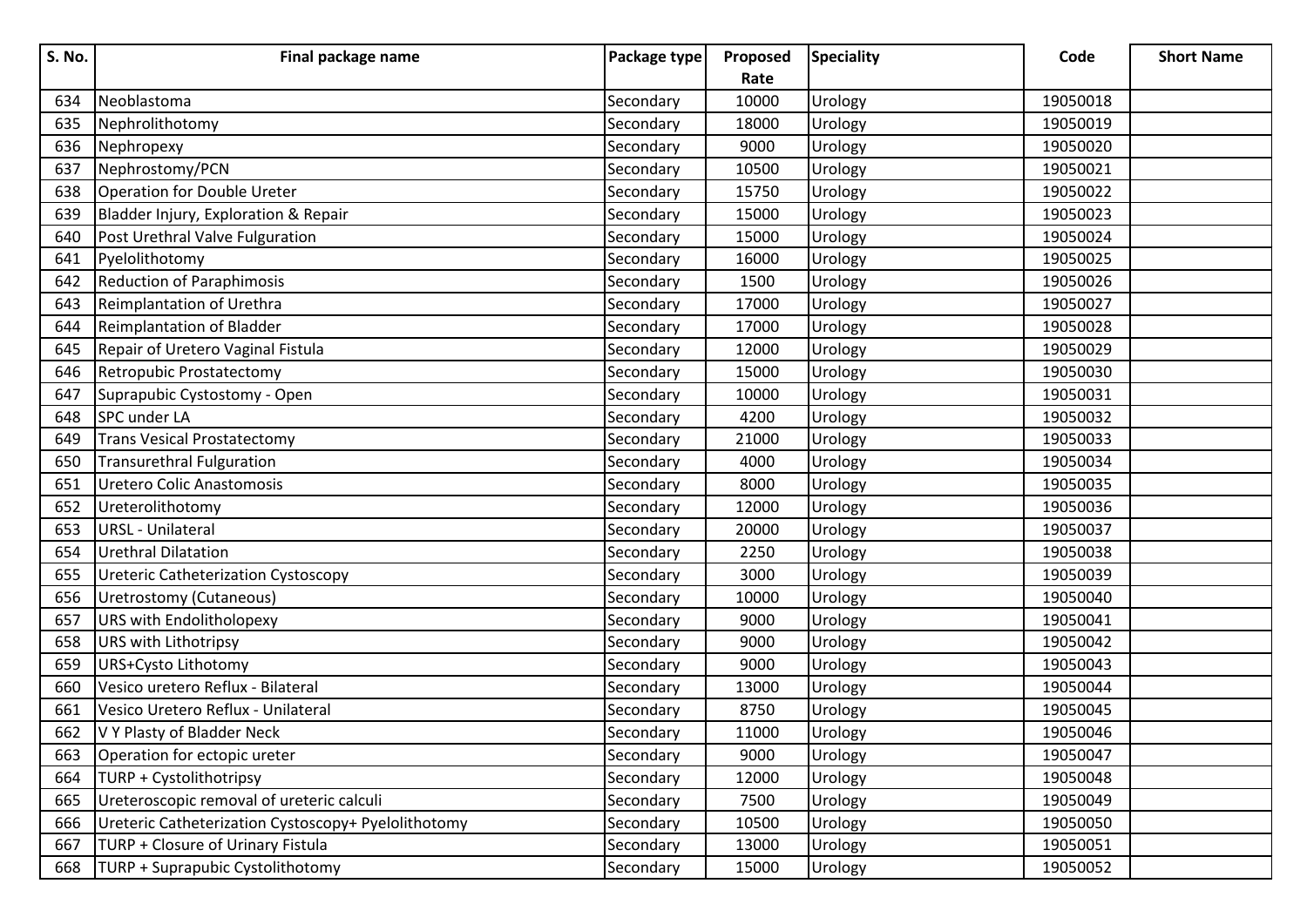| S. No. | Final package name                                  | Package type | Proposed | <b>Speciality</b> | Code     | <b>Short Name</b> |
|--------|-----------------------------------------------------|--------------|----------|-------------------|----------|-------------------|
|        |                                                     |              | Rate     |                   |          |                   |
| 634    | Neoblastoma                                         | Secondary    | 10000    | Urology           | 19050018 |                   |
| 635    | Nephrolithotomy                                     | Secondary    | 18000    | Urology           | 19050019 |                   |
| 636    | Nephropexy                                          | Secondary    | 9000     | Urology           | 19050020 |                   |
| 637    | Nephrostomy/PCN                                     | Secondary    | 10500    | Urology           | 19050021 |                   |
| 638    | Operation for Double Ureter                         | Secondary    | 15750    | Urology           | 19050022 |                   |
| 639    | Bladder Injury, Exploration & Repair                | Secondary    | 15000    | Urology           | 19050023 |                   |
| 640    | Post Urethral Valve Fulguration                     | Secondary    | 15000    | Urology           | 19050024 |                   |
| 641    | Pyelolithotomy                                      | Secondary    | 16000    | Urology           | 19050025 |                   |
| 642    | <b>Reduction of Paraphimosis</b>                    | Secondary    | 1500     | Urology           | 19050026 |                   |
| 643    | Reimplantation of Urethra                           | Secondary    | 17000    | Urology           | 19050027 |                   |
| 644    | Reimplantation of Bladder                           | Secondary    | 17000    | Urology           | 19050028 |                   |
| 645    | Repair of Uretero Vaginal Fistula                   | Secondary    | 12000    | Urology           | 19050029 |                   |
| 646    | Retropubic Prostatectomy                            | Secondary    | 15000    | Urology           | 19050030 |                   |
| 647    | Suprapubic Cystostomy - Open                        | Secondary    | 10000    | Urology           | 19050031 |                   |
| 648    | <b>SPC</b> under LA                                 | Secondary    | 4200     | Urology           | 19050032 |                   |
| 649    | <b>Trans Vesical Prostatectomy</b>                  | Secondary    | 21000    | Urology           | 19050033 |                   |
| 650    | <b>Transurethral Fulguration</b>                    | Secondary    | 4000     | Urology           | 19050034 |                   |
| 651    | Uretero Colic Anastomosis                           | Secondary    | 8000     | Urology           | 19050035 |                   |
| 652    | Ureterolithotomy                                    | Secondary    | 12000    | Urology           | 19050036 |                   |
| 653    | <b>URSL - Unilateral</b>                            | Secondary    | 20000    | Urology           | 19050037 |                   |
| 654    | <b>Urethral Dilatation</b>                          | Secondary    | 2250     | Urology           | 19050038 |                   |
| 655    | Ureteric Catheterization Cystoscopy                 | Secondary    | 3000     | Urology           | 19050039 |                   |
| 656    | Uretrostomy (Cutaneous)                             | Secondary    | 10000    | Urology           | 19050040 |                   |
| 657    | URS with Endolitholopexy                            | Secondary    | 9000     | Urology           | 19050041 |                   |
| 658    | <b>URS with Lithotripsy</b>                         | Secondary    | 9000     | Urology           | 19050042 |                   |
| 659    | URS+Cysto Lithotomy                                 | Secondary    | 9000     | Urology           | 19050043 |                   |
| 660    | Vesico uretero Reflux - Bilateral                   | Secondary    | 13000    | Urology           | 19050044 |                   |
| 661    | Vesico Uretero Reflux - Unilateral                  | Secondary    | 8750     | Urology           | 19050045 |                   |
| 662    | V Y Plasty of Bladder Neck                          | Secondary    | 11000    | Urology           | 19050046 |                   |
| 663    | Operation for ectopic ureter                        | Secondary    | 9000     | Urology           | 19050047 |                   |
| 664    | TURP + Cystolithotripsy                             | Secondary    | 12000    | Urology           | 19050048 |                   |
| 665    | Ureteroscopic removal of ureteric calculi           | Secondary    | 7500     | Urology           | 19050049 |                   |
| 666    | Ureteric Catheterization Cystoscopy+ Pyelolithotomy | Secondary    | 10500    | Urology           | 19050050 |                   |
| 667    | TURP + Closure of Urinary Fistula                   | Secondary    | 13000    | Urology           | 19050051 |                   |
| 668    | TURP + Suprapubic Cystolithotomy                    | Secondary    | 15000    | Urology           | 19050052 |                   |